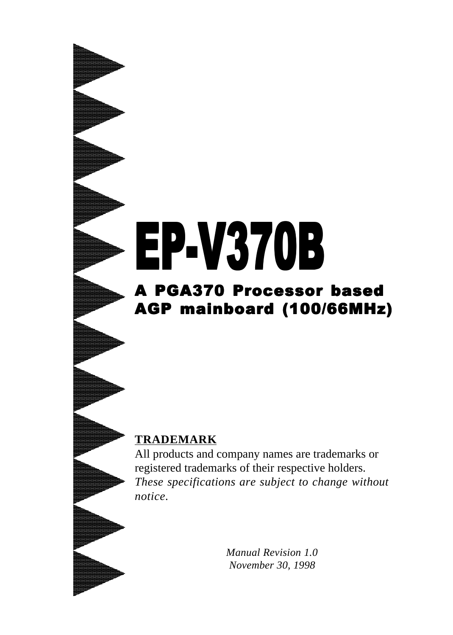# **EP-V370B**

## A PGA370 Processor based AGP mainboard (100/66MHz)

#### **TRADEMARK**

All products and company names are trademarks or registered trademarks of their respective holders. *These specifications are subject to change without notice.*

> *Manual Revision 1.0 November 30, 1998*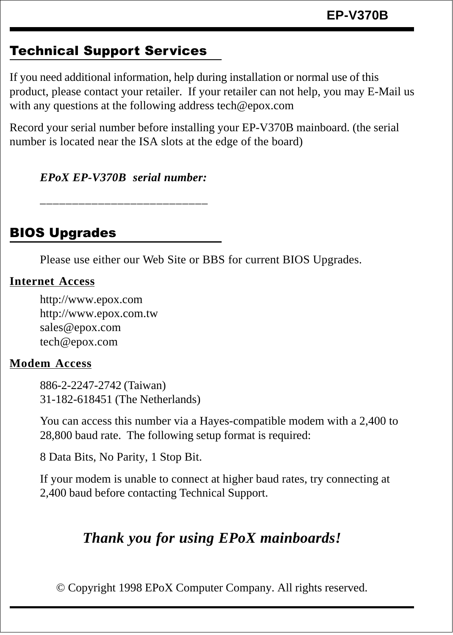#### Technical Support Services

If you need additional information, help during installation or normal use of this product, please contact your retailer. If your retailer can not help, you may E-Mail us with any questions at the following address tech@epox.com

Record your serial number before installing your EP-V370B mainboard. (the serial number is located near the ISA slots at the edge of the board)

*EPoX EP-V370B serial number:*

\_\_\_\_\_\_\_\_\_\_\_\_\_\_\_\_\_\_\_\_\_\_\_\_\_\_

#### BIOS Upgrades

Please use either our Web Site or BBS for current BIOS Upgrades.

#### **Internet Access**

http://www.epox.com http://www.epox.com.tw sales@epox.com tech@epox.com

#### **Modem Access**

886-2-2247-2742 (Taiwan) 31-182-618451 (The Netherlands)

You can access this number via a Hayes-compatible modem with a 2,400 to 28,800 baud rate. The following setup format is required:

8 Data Bits, No Parity, 1 Stop Bit.

If your modem is unable to connect at higher baud rates, try connecting at 2,400 baud before contacting Technical Support.

## *Thank you for using EPoX mainboards!*

© Copyright 1998 EPoX Computer Company. All rights reserved.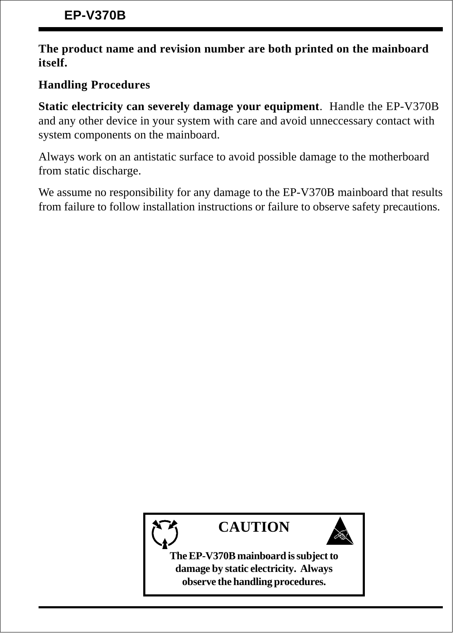**The product name and revision number are both printed on the mainboard itself.**

#### **Handling Procedures**

**Static electricity can severely damage your equipment**. Handle the EP-V370B and any other device in your system with care and avoid unneccessary contact with system components on the mainboard.

Always work on an antistatic surface to avoid possible damage to the motherboard from static discharge.

We assume no responsibility for any damage to the EP-V370B mainboard that results from failure to follow installation instructions or failure to observe safety precautions.



**CAUTION**



**The EP-V370B mainboard is subject to damage by static electricity. Always observe the handling procedures.**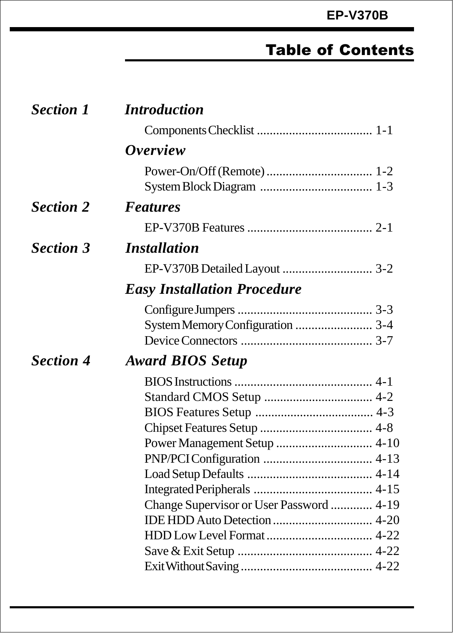## Table of Contents

| <b>Section 1</b> | <b>Introduction</b>                      |
|------------------|------------------------------------------|
|                  |                                          |
|                  | <i><b>Overview</b></i>                   |
|                  |                                          |
| <b>Section 2</b> | <b>Features</b>                          |
|                  |                                          |
| <b>Section 3</b> | <i><b>Installation</b></i>               |
|                  | EP-V370B Detailed Layout  3-2            |
|                  | <b>Easy Installation Procedure</b>       |
|                  | System Memory Configuration  3-4         |
| <b>Section 4</b> | <b>Award BIOS Setup</b>                  |
|                  | Change Supervisor or User Password  4-19 |
|                  |                                          |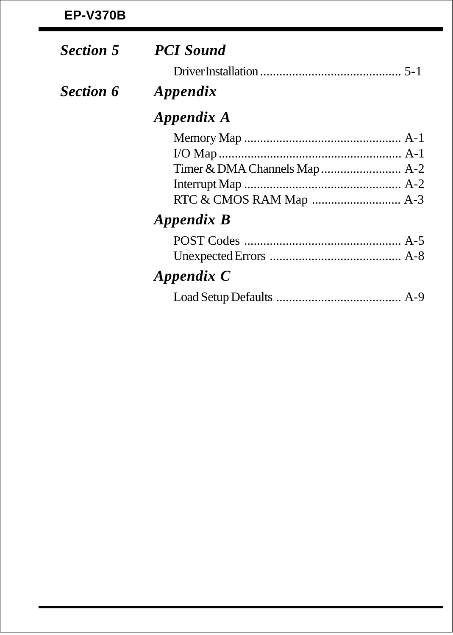| <b>Section 5</b> | <b>PCI</b> Sound              |
|------------------|-------------------------------|
|                  |                               |
| <b>Section 6</b> | Appendix                      |
|                  | Appendix A                    |
|                  |                               |
|                  |                               |
|                  | Timer & DMA Channels Map  A-2 |
|                  |                               |
|                  |                               |
|                  | Appendix B                    |
|                  |                               |
|                  |                               |
|                  | Appendix C                    |
|                  |                               |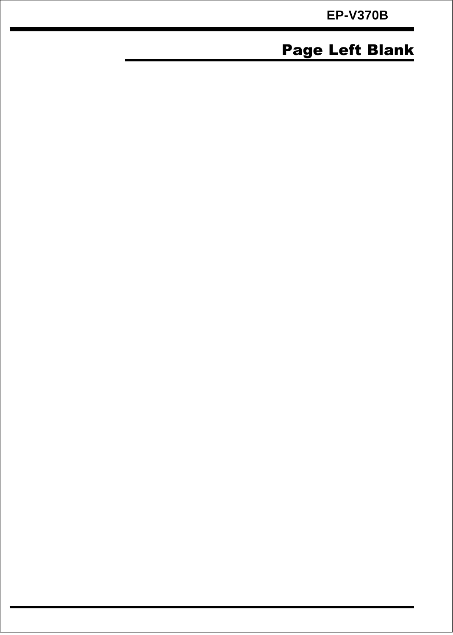# Page Left Blank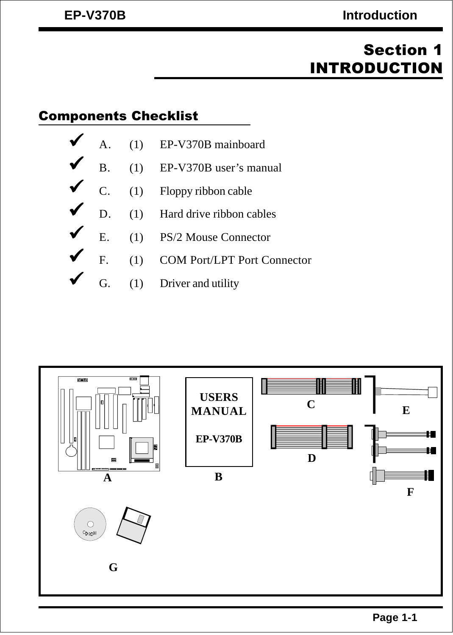## Section 1 INTRODUCTION

#### Components Checklist

- ü A. (1) EP-V370B mainboard
- B. (1) EP-V370B user's manual
- C. (1) Floppy ribbon cable
- D. (1) Hard drive ribbon cables
- E. (1) PS/2 Mouse Connector
- F. (1) COM Port/LPT Port Connector
	- G.  $(1)$  Driver and utility

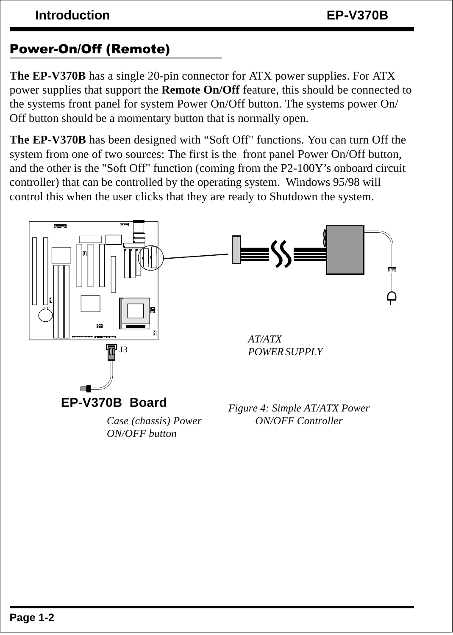#### Power-On/Off (Remote)

**The EP-V370B** has a single 20-pin connector for ATX power supplies. For ATX power supplies that support the **Remote On/Off** feature, this should be connected to the systems front panel for system Power On/Off button. The systems power On/ Off button should be a momentary button that is normally open.

**The EP-V370B** has been designed with "Soft Off" functions. You can turn Off the system from one of two sources: The first is the front panel Power On/Off button, and the other is the "Soft Off" function (coming from the P2-100Y's onboard circuit controller) that can be controlled by the operating system. Windows 95/98 will control this when the user clicks that they are ready to Shutdown the system.

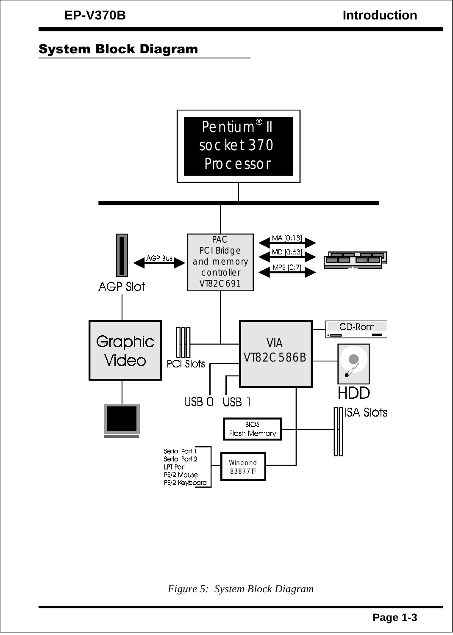#### System Block Diagram



*Figure 5: System Block Diagram*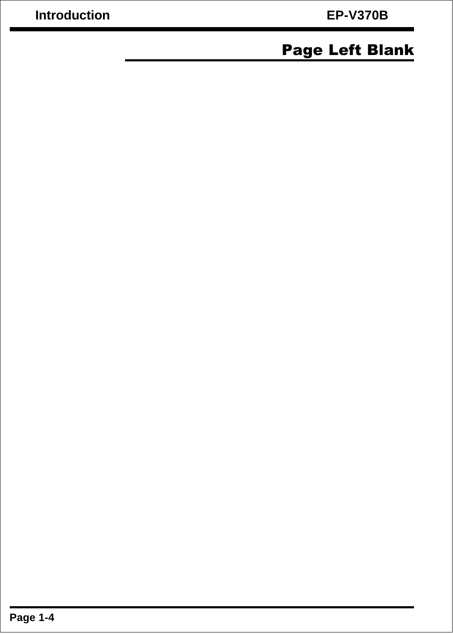## Page Left Blank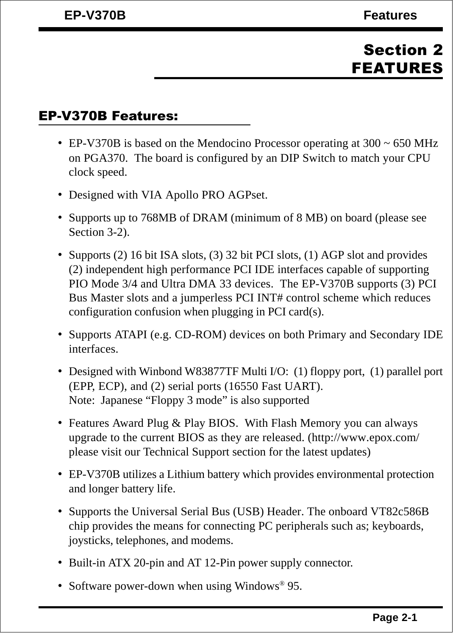## Section 2 FEATURES

#### EP-V370B Features:

- EP-V370B is based on the Mendocino Processor operating at 300 ~ 650 MHz on PGA370. The board is configured by an DIP Switch to match your CPU clock speed.
- Designed with VIA Apollo PRO AGPset.
- Supports up to 768MB of DRAM (minimum of 8 MB) on board (please see Section 3-2).
- Supports (2) 16 bit ISA slots, (3) 32 bit PCI slots, (1) AGP slot and provides (2) independent high performance PCI IDE interfaces capable of supporting PIO Mode 3/4 and Ultra DMA 33 devices. The EP-V370B supports (3) PCI Bus Master slots and a jumperless PCI INT# control scheme which reduces configuration confusion when plugging in PCI card(s).
- Supports ATAPI (e.g. CD-ROM) devices on both Primary and Secondary IDE interfaces.
- Designed with Winbond W83877TF Multi I/O: (1) floppy port, (1) parallel port (EPP, ECP), and (2) serial ports (16550 Fast UART). Note: Japanese "Floppy 3 mode" is also supported
- Features Award Plug & Play BIOS. With Flash Memory you can always upgrade to the current BIOS as they are released. (http://www.epox.com/ please visit our Technical Support section for the latest updates)
- EP-V370B utilizes a Lithium battery which provides environmental protection and longer battery life.
- Supports the Universal Serial Bus (USB) Header. The onboard VT82c586B chip provides the means for connecting PC peripherals such as; keyboards, joysticks, telephones, and modems.
- Built-in ATX 20-pin and AT 12-Pin power supply connector.
- Software power-down when using Windows<sup>®</sup> 95.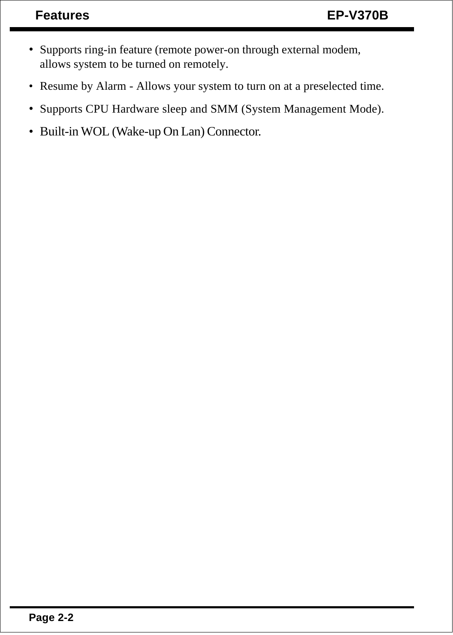- Supports ring-in feature (remote power-on through external modem, allows system to be turned on remotely.
- Resume by Alarm Allows your system to turn on at a preselected time.
- Supports CPU Hardware sleep and SMM (System Management Mode).
- Built-in WOL (Wake-up On Lan) Connector.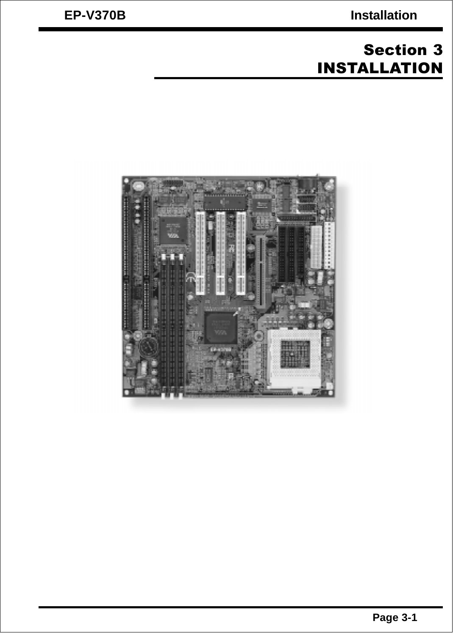## Section 3 INSTALLATION

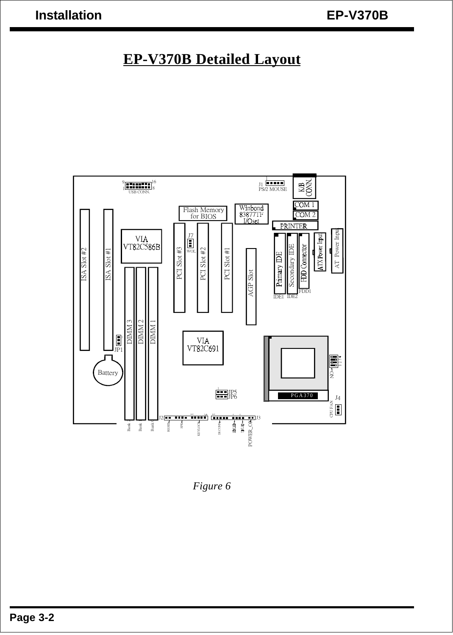## **EP-V370B Detailed Layout**



*Figure 6*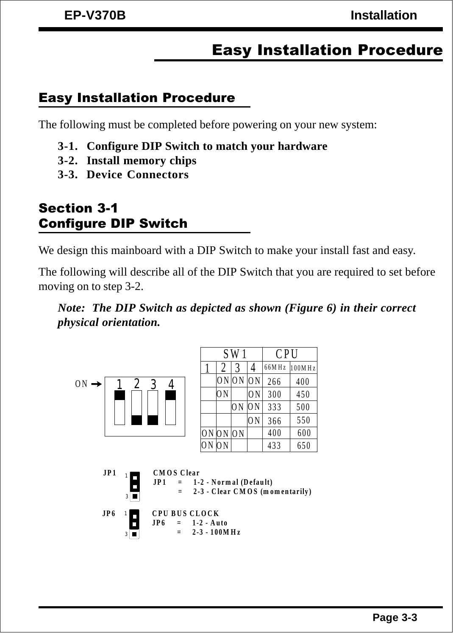## Easy Installation Procedure

#### Easy Installation Procedure

The following must be completed before powering on your new system:

- **3-1. Configure DIP Switch to match your hardware**
- **3-2. Install memory chips**
- **3-3. Device Connectors**

#### Section 3-1 Configure DIP Switch

We design this mainboard with a DIP Switch to make your install fast and easy.

The following will describe all of the DIP Switch that you are required to set before moving on to step 3-2.

#### *Note: The DIP Switch as depicted as shown (Figure 6) in their correct physical orientation.*

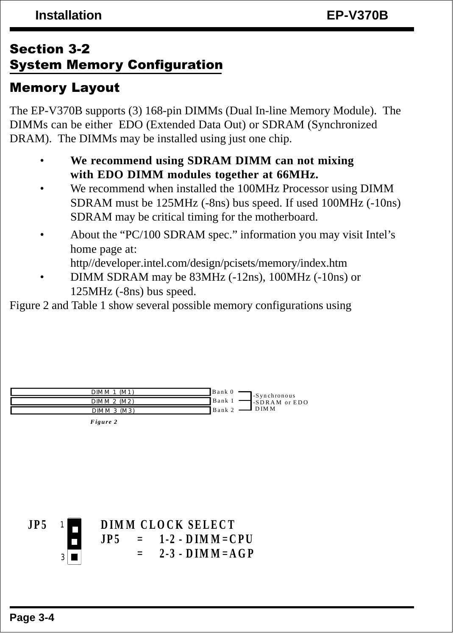#### Section 3-2 System Memory Configuration

#### Memory Layout

The EP-V370B supports (3) 168-pin DIMMs (Dual In-line Memory Module). The DIMMs can be either EDO (Extended Data Out) or SDRAM (Synchronized DRAM). The DIMMs may be installed using just one chip.

- **We recommend using SDRAM DIMM can not mixing with EDO DIMM modules together at 66MHz.**
- We recommend when installed the 100MHz Processor using DIMM SDRAM must be 125MHz (-8ns) bus speed. If used 100MHz (-10ns) SDRAM may be critical timing for the motherboard.
- About the "PC/100 SDRAM spec." information you may visit Intel's home page at:

http//developer.intel.com/design/pcisets/memory/index.htm

• DIMM SDRAM may be 83MHz (-12ns), 100MHz (-10ns) or 125MHz (-8ns) bus speed.

Figure 2 and Table 1 show several possible memory configurations using

| (M1)<br><b>DIMM</b> | $B$ ank $0 -$<br>-Synchronous         |
|---------------------|---------------------------------------|
| DIMM 2 (M2)         | Bank 1 -SDRAM or EDO                  |
| DIMM 3 (M3)         | $\Box$ DIMM<br>$\blacksquare$ B ank 2 |
| Figure 2            |                                       |

**JP5** 1 DIMM CLOCK SELECT  $JP5 = 1-2 - DIMM = CPU$  $= 2-3 - DIM M = AGP$ 1 3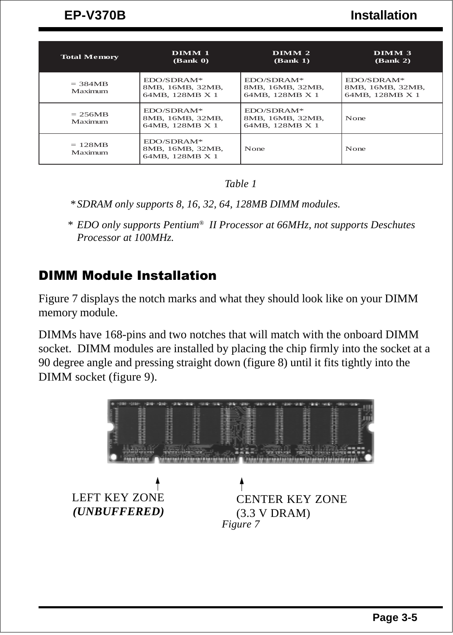| <b>Total Memory</b>  | DIMM 1<br>(Bank 0)                                | DIMM <sub>2</sub><br>(Bank 1)                       | DIMM <sub>3</sub><br>(Bank 2)                     |
|----------------------|---------------------------------------------------|-----------------------------------------------------|---------------------------------------------------|
| $=$ 384MB<br>Maximum | EDO/SDRAM*<br>8MB, 16MB, 32MB.<br>64MB, 128MB X 1 | EDO/SDRAM*<br>8MB, 16MB, 32MB.<br>64MB, 128MB X 1   | EDO/SDRAM*<br>8MB, 16MB, 32MB.<br>64MB, 128MB X 1 |
| $= 256MB$<br>Maximum | EDO/SDRAM*<br>8MB, 16MB, 32MB.<br>64MB, 128MB X 1 | $EDO/SDRAM*$<br>8MB, 16MB, 32MB.<br>64MB, 128MB X 1 | None                                              |
| $= 128MB$<br>Maximum | EDO/SDRAM*<br>8MB, 16MB, 32MB.<br>64MB, 128MB X 1 | None                                                | None                                              |

*Table 1*

 *\* SDRAM only supports 8, 16, 32, 64, 128MB DIMM modules.*

#### DIMM Module Installation

Figure 7 displays the notch marks and what they should look like on your DIMM memory module.

DIMMs have 168-pins and two notches that will match with the onboard DIMM socket. DIMM modules are installed by placing the chip firmly into the socket at a 90 degree angle and pressing straight down (figure 8) until it fits tightly into the DIMM socket (figure 9).



*<sup>\*</sup> EDO only supports Pentium® II Processor at 66MHz, not supports Deschutes Processor at 100MHz.*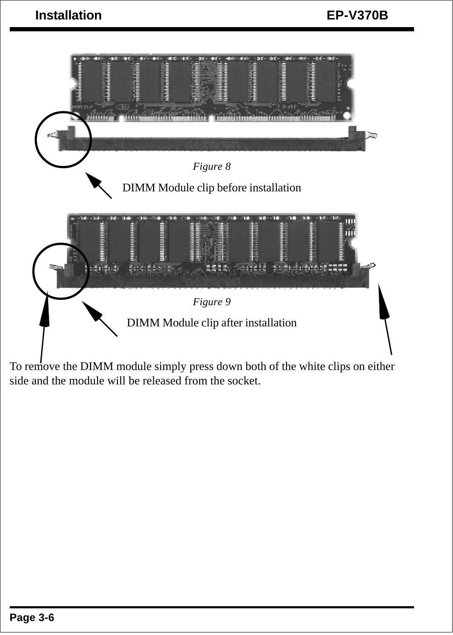

To remove the DIMM module simply press down both of the white clips on either side and the module will be released from the socket.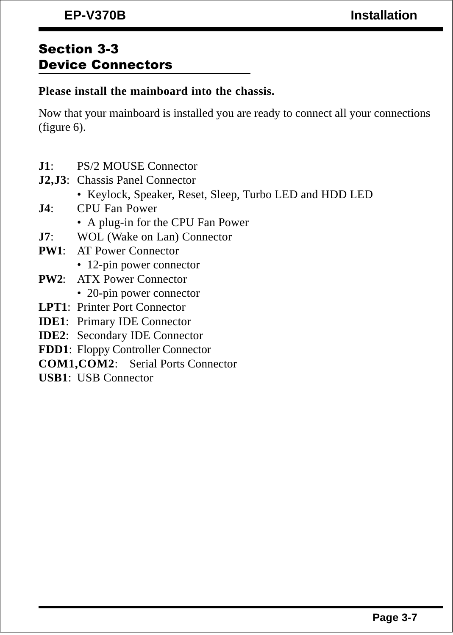#### Section 3-3 Device Connectors

#### **Please install the mainboard into the chassis.**

Now that your mainboard is installed you are ready to connect all your connections (figure 6).

- **J1**: PS/2 MOUSE Connector
- **J2,J3**: Chassis Panel Connector
	- Keylock, Speaker, Reset, Sleep, Turbo LED and HDD LED
- **J4**: CPU Fan Power
	- A plug-in for the CPU Fan Power
- **J7**: WOL (Wake on Lan) Connector
- **PW1**: AT Power Connector
	- 12-pin power connector
- **PW2**: ATX Power Connector
	- 20-pin power connector
- **LPT1**: Printer Port Connector
- **IDE1**: Primary IDE Connector
- **IDE2**: Secondary IDE Connector
- **FDD1**: Floppy Controller Connector
- **COM1,COM2**: Serial Ports Connector
- **USB1**: USB Connector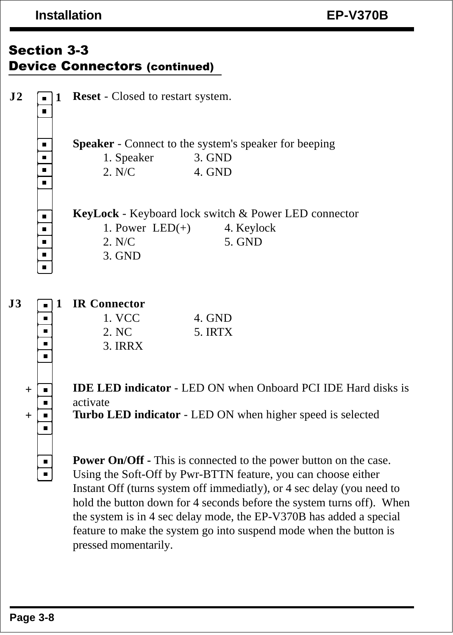$\blacksquare$  $\blacksquare$  $\blacksquare$  $\blacksquare$ 

 $\blacksquare$  $\blacksquare$  $\blacksquare$  $\blacksquare$  $\blacksquare$ 

#### Section 3-3 Device Connectors (continued)

**IR Connector**

3. IRRX

1. VCC 4. GND 2. NC 5. IRTX

**J2 1 Reset** - Closed to restart system.  $\blacksquare$  $\blacksquare$ 

> **Speaker** - Connect to the system's speaker for beeping 1. Speaker 3. GND 2. N/C 4. GND

**KeyLock** - Keyboard lock switch & Power LED connector 1. Power  $LED(+)$  4. Keylock 2. N/C 5. GND 3. GND

| $\bf{J}3$ | 1 |
|-----------|---|
|           |   |
|           |   |
|           |   |
|           |   |
|           |   |
|           |   |
| $\,{}^+$  |   |
|           |   |
| $\ddag$   |   |
|           |   |
|           |   |
|           |   |
|           |   |

**IDE LED indicator** - LED ON when Onboard PCI IDE Hard disks is activate

**Turbo LED indicator** - LED ON when higher speed is selected

**Power On/Off - This is connected to the power button on the case.** Using the Soft-Off by Pwr-BTTN feature, you can choose either Instant Off (turns system off immediatly), or 4 sec delay (you need to hold the button down for 4 seconds before the system turns off). When the system is in 4 sec delay mode, the EP-V370B has added a special feature to make the system go into suspend mode when the button is pressed momentarily.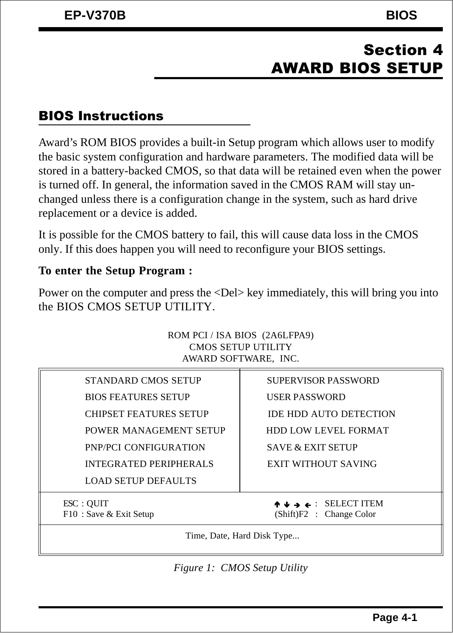## Section 4 AWARD BIOS SETUP

#### BIOS Instructions

Award's ROM BIOS provides a built-in Setup program which allows user to modify the basic system configuration and hardware parameters. The modified data will be stored in a battery-backed CMOS, so that data will be retained even when the power is turned off. In general, the information saved in the CMOS RAM will stay unchanged unless there is a configuration change in the system, such as hard drive replacement or a device is added.

It is possible for the CMOS battery to fail, this will cause data loss in the CMOS only. If this does happen you will need to reconfigure your BIOS settings.

#### **To enter the Setup Program :**

Power on the computer and press the <Del> key immediately, this will bring you into the BIOS CMOS SETUP UTILITY.

 $POM PCI / IR$  A  $DIOS / 2A \epsilon I$   $FDA(0)$ 

| <b>NUM FULLED BIUS (ZAULFREE</b><br><b>CMOS SETUP UTILITY</b><br>AWARD SOFTWARE, INC.                                           |                              |  |  |  |
|---------------------------------------------------------------------------------------------------------------------------------|------------------------------|--|--|--|
| STANDARD CMOS SETUP                                                                                                             | <b>SUPERVISOR PASSWORD</b>   |  |  |  |
| <b>BIOS FEATURES SETUP</b>                                                                                                      | <b>USER PASSWORD</b>         |  |  |  |
| <b>CHIPSET FEATURES SETUP</b>                                                                                                   | IDE HDD AUTO DETECTION       |  |  |  |
| POWER MANAGEMENT SETUP                                                                                                          | <b>HDD LOW LEVEL FORMAT</b>  |  |  |  |
| PNP/PCI CONFIGURATION                                                                                                           | <b>SAVE &amp; EXIT SETUP</b> |  |  |  |
| <b>INTEGRATED PERIPHERALS</b>                                                                                                   | EXIT WITHOUT SAVING          |  |  |  |
| <b>LOAD SETUP DEFAULTS</b>                                                                                                      |                              |  |  |  |
| ESC : QUIT<br>$\uparrow \uparrow \rightarrow \leftarrow$ : SELECT ITEM<br>F10 : Save & Exit Setup<br>$(Shift)F2$ : Change Color |                              |  |  |  |
| Time, Date, Hard Disk Type                                                                                                      |                              |  |  |  |

*Figure 1: CMOS Setup Utility*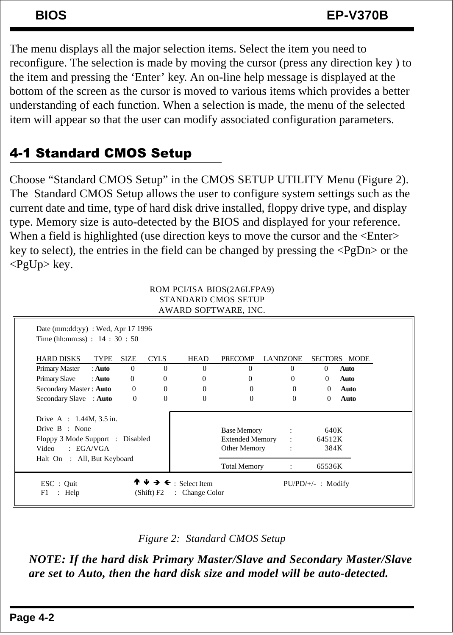The menu displays all the major selection items. Select the item you need to reconfigure. The selection is made by moving the cursor (press any direction key ) to the item and pressing the 'Enter' key. An on-line help message is displayed at the bottom of the screen as the cursor is moved to various items which provides a better understanding of each function. When a selection is made, the menu of the selected item will appear so that the user can modify associated configuration parameters.

## 4-1 Standard CMOS Setup

Choose "Standard CMOS Setup" in the CMOS SETUP UTILITY Menu (Figure 2). The Standard CMOS Setup allows the user to configure system settings such as the current date and time, type of hard disk drive installed, floppy drive type, and display type. Memory size is auto-detected by the BIOS and displayed for your reference. When a field is highlighted (use direction keys to move the cursor and the  $\leq$ Enter $>$ key to select), the entries in the field can be changed by pressing the <PgDn> or the  $<$ PgUp $>$  key.

> ROM PCI/ISA BIOS(2A6LFPA9) STANDARD CMOS SETUP AWARD SOFTWARE, INC.

| HARD DISKS                                                                                                              | <b>TYPE</b> | <b>SIZE</b> | <b>CYLS</b> | <b>HEAD</b> | <b>PRECOMP</b>                                                                      | LANDZONE                               |                                  | SECTORS MODE |
|-------------------------------------------------------------------------------------------------------------------------|-------------|-------------|-------------|-------------|-------------------------------------------------------------------------------------|----------------------------------------|----------------------------------|--------------|
| Primary Master                                                                                                          | : Auto      | $\Omega$    | $\Omega$    | $\Omega$    | $\Omega$                                                                            | $\Omega$                               | $\Omega$                         | Auto         |
| Primary Slave                                                                                                           | : Auto      | $\Omega$    | $\Omega$    | $\Omega$    | $\Omega$                                                                            | $\Omega$                               | $\Omega$                         | Auto         |
| Secondary Master: Auto                                                                                                  |             | $\Omega$    | $\Omega$    | $\Omega$    | $\Omega$                                                                            | $\Omega$                               | $\Omega$                         | Auto         |
| Secondary Slave : Auto                                                                                                  |             | $\Omega$    | $\Omega$    | $\Omega$    | $\Omega$                                                                            | $\Omega$                               | $\Omega$                         | Auto         |
| Drive $A : 1.44M, 3.5$ in.<br>Drive B: None<br>Floppy 3 Mode Support : Disabled<br>Video<br>Halt On : All, But Keyboard | EGA/VGA     |             |             |             | <b>Base Memory</b><br><b>Extended Memory</b><br>Other Memory<br><b>Total Memory</b> | $\ddot{\cdot}$<br>$\ddot{\phantom{a}}$ | 640K<br>64512K<br>384K<br>65536K |              |

*Figure 2: Standard CMOS Setup*

*NOTE: If the hard disk Primary Master/Slave and Secondary Master/Slave are set to Auto, then the hard disk size and model will be auto-detected.*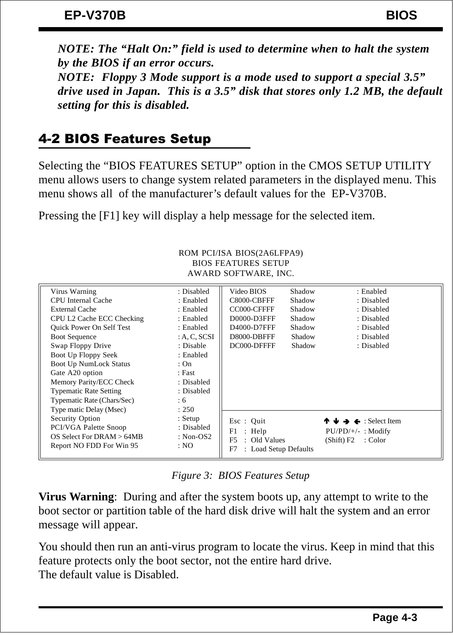*NOTE: The "Halt On:" field is used to determine when to halt the system by the BIOS if an error occurs.*

*NOTE: Floppy 3 Mode support is a mode used to support a special 3.5" drive used in Japan. This is a 3.5" disk that stores only 1.2 MB, the default setting for this is disabled.*

#### 4-2 BIOS Features Setup

Selecting the "BIOS FEATURES SETUP" option in the CMOS SETUP UTILITY menu allows users to change system related parameters in the displayed menu. This menu shows all of the manufacturer's default values for the EP-V370B.

Pressing the [F1] key will display a help message for the selected item.

| AWAND QUETWANE, INC.                                                                                                                                                                                                                                                                                                                                               |                                                                                                                                                                        |                                                                                                        |                                                                    |                                                                                                              |
|--------------------------------------------------------------------------------------------------------------------------------------------------------------------------------------------------------------------------------------------------------------------------------------------------------------------------------------------------------------------|------------------------------------------------------------------------------------------------------------------------------------------------------------------------|--------------------------------------------------------------------------------------------------------|--------------------------------------------------------------------|--------------------------------------------------------------------------------------------------------------|
| Virus Warning<br>CPU Internal Cache<br>External Cache<br>CPU L2 Cache ECC Checking<br><b>Ouick Power On Self Test</b><br><b>Boot Sequence</b><br>Swap Floppy Drive<br>Boot Up Floppy Seek<br><b>Boot Up NumLock Status</b><br>Gate A20 option<br>Memory Parity/ECC Check<br><b>Typematic Rate Setting</b><br>Typematic Rate (Chars/Sec)<br>Type matic Delay (Msec) | : Disabled<br>: Enabled<br>: Enabled<br>: Enabled<br>: Enabled<br>: A, C, SCSI<br>: Disable<br>: Enabled<br>: On<br>: Fast<br>: Disabled<br>: Disabled<br>: 6<br>: 250 | Video BIOS<br>C8000-CBFFF<br>CC000-CFFFF<br>D0000-D3FFF<br>D4000-D7FFF<br>D8000-DBFFF<br>DC000-DFFFF   | Shadow<br>Shadow<br>Shadow<br>Shadow<br>Shadow<br>Shadow<br>Shadow | : Enabled<br>: Disabled<br>: Disabled<br>: Disabled<br>: Disabled<br>: Disabled<br>: Disabled                |
| Security Option<br>PCI/VGA Palette Snoop<br>OS Select For DRAM > 64MB<br>Report NO FDD For Win 95                                                                                                                                                                                                                                                                  | $:$ Setup<br>: Disabled<br>: Non-OS2<br>:NO                                                                                                                            | Esc: Ouit<br>$\therefore$ Help<br>F1.<br>: Old Values<br>F <sub>5</sub><br>F7<br>: Load Setup Defaults |                                                                    | $\uparrow \psi \rightarrow \leftarrow : \text{Select Item}$<br>$PU/PD/+/-$ : Modify<br>(Shift) F2<br>: Color |

ROM PCI/ISA BIOS(2A6LFPA9) BIOS FEATURES SETUP AWARD SOFTWARE, INC.

*Figure 3: BIOS Features Setup*

**Virus Warning**:During and after the system boots up, any attempt to write to the boot sector or partition table of the hard disk drive will halt the system and an error message will appear.

You should then run an anti-virus program to locate the virus. Keep in mind that this feature protects only the boot sector, not the entire hard drive. The default value is Disabled.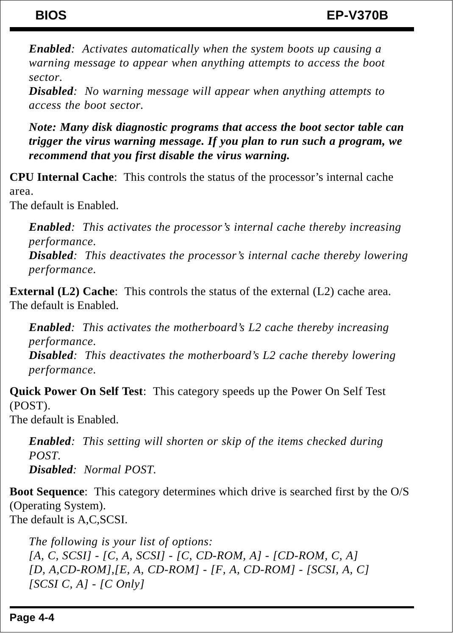*Enabled: Activates automatically when the system boots up causing a warning message to appear when anything attempts to access the boot sector.*

*Disabled: No warning message will appear when anything attempts to access the boot sector.*

*Note: Many disk diagnostic programs that access the boot sector table can trigger the virus warning message. If you plan to run such a program, we recommend that you first disable the virus warning.*

**CPU Internal Cache**: This controls the status of the processor's internal cache area.

The default is Enabled.

*Enabled: This activates the processor's internal cache thereby increasing performance. Disabled: This deactivates the processor's internal cache thereby lowering performance.*

**External (L2) Cache:** This controls the status of the external (L2) cache area. The default is Enabled.

*Enabled: This activates the motherboard's L2 cache thereby increasing performance. Disabled: This deactivates the motherboard's L2 cache thereby lowering performance.*

**Quick Power On Self Test**: This category speeds up the Power On Self Test (POST).

The default is Enabled.

*Enabled: This setting will shorten or skip of the items checked during POST. Disabled: Normal POST.*

**Boot Sequence**: This category determines which drive is searched first by the O/S (Operating System). The default is A,C,SCSI.

*The following is your list of options: [A, C, SCSI] - [C, A, SCSI] - [C, CD-ROM, A] - [CD-ROM, C, A] [D, A,CD-ROM],[E, A, CD-ROM] - [F, A, CD-ROM] - [SCSI, A, C] [SCSI C, A] - [C Only]*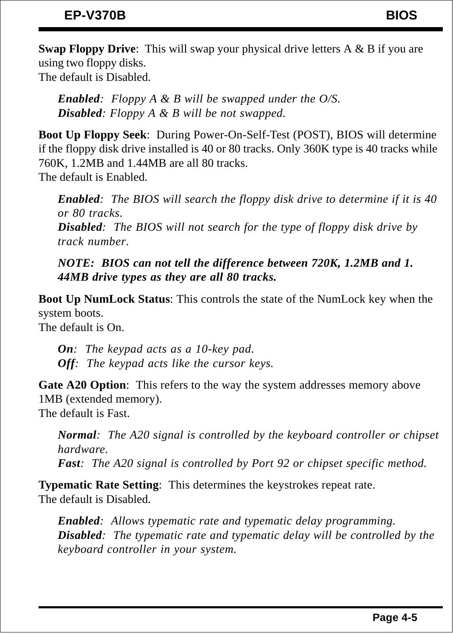**Swap Floppy Drive**: This will swap your physical drive letters A & B if you are using two floppy disks.

The default is Disabled.

*Enabled: Floppy A & B will be swapped under the O/S. Disabled: Floppy A & B will be not swapped.*

**Boot Up Floppy Seek**: During Power-On-Self-Test (POST), BIOS will determine if the floppy disk drive installed is 40 or 80 tracks. Only 360K type is 40 tracks while 760K, 1.2MB and 1.44MB are all 80 tracks.

The default is Enabled.

*Enabled: The BIOS will search the floppy disk drive to determine if it is 40 or 80 tracks. Disabled: The BIOS will not search for the type of floppy disk drive by track number.*

*NOTE: BIOS can not tell the difference between 720K, 1.2MB and 1. 44MB drive types as they are all 80 tracks.*

**Boot Up NumLock Status**: This controls the state of the NumLock key when the system boots.

The default is On.

*On: The keypad acts as a 10-key pad. Off: The keypad acts like the cursor keys.*

Gate A20 Option: This refers to the way the system addresses memory above 1MB (extended memory). The default is Fast.

*Normal: The A20 signal is controlled by the keyboard controller or chipset hardware. Fast: The A20 signal is controlled by Port 92 or chipset specific method.*

**Typematic Rate Setting**: This determines the keystrokes repeat rate. The default is Disabled.

*Enabled: Allows typematic rate and typematic delay programming. Disabled: The typematic rate and typematic delay will be controlled by the keyboard controller in your system.*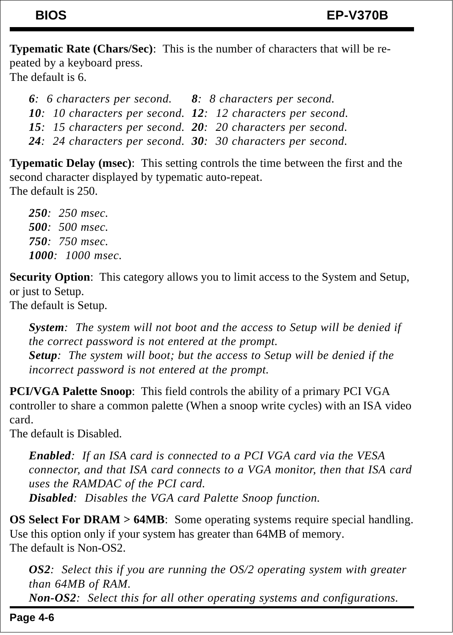**Typematic Rate (Chars/Sec)**: This is the number of characters that will be repeated by a keyboard press. The default is 6.

*: 6 characters per second. 8: 8 characters per second. : 10 characters per second. 12: 12 characters per second. : 15 characters per second. 20: 20 characters per second. : 24 characters per second. 30: 30 characters per second.*

**Typematic Delay (msec)**: This setting controls the time between the first and the second character displayed by typematic auto-repeat. The default is 250.

*: 250 msec. : 500 msec. : 750 msec. : 1000 msec.*

**Security Option**: This category allows you to limit access to the System and Setup, or just to Setup.

The default is Setup.

*System: The system will not boot and the access to Setup will be denied if the correct password is not entered at the prompt. Setup: The system will boot; but the access to Setup will be denied if the incorrect password is not entered at the prompt.*

**PCI/VGA Palette Snoop**: This field controls the ability of a primary PCI VGA controller to share a common palette (When a snoop write cycles) with an ISA video card.

The default is Disabled.

*Enabled: If an ISA card is connected to a PCI VGA card via the VESA connector, and that ISA card connects to a VGA monitor, then that ISA card uses the RAMDAC of the PCI card. Disabled: Disables the VGA card Palette Snoop function.*

**OS Select For DRAM > 64MB**: Some operating systems require special handling. Use this option only if your system has greater than 64MB of memory. The default is Non-OS2.

*OS2: Select this if you are running the OS/2 operating system with greater than 64MB of RAM. Non-OS2: Select this for all other operating systems and configurations.*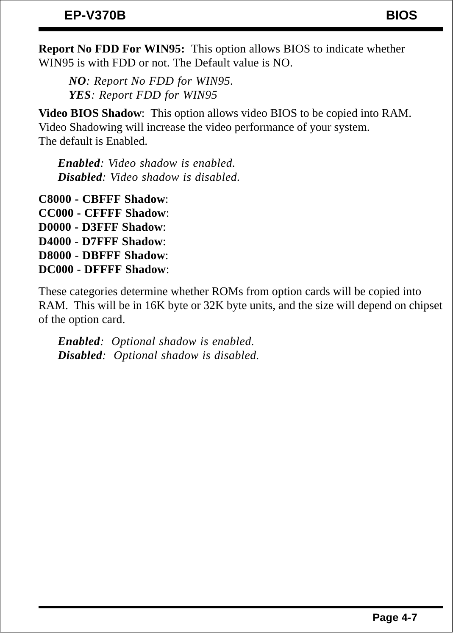**Report No FDD For WIN95:** This option allows BIOS to indicate whether WIN95 is with FDD or not. The Default value is NO.

*NO: Report No FDD for WIN95. YES: Report FDD for WIN95*

**Video BIOS Shadow**: This option allows video BIOS to be copied into RAM. Video Shadowing will increase the video performance of your system. The default is Enabled.

*Enabled: Video shadow is enabled. Disabled: Video shadow is disabled.*

**C8000 - CBFFF Shadow**: **CC000 - CFFFF Shadow**: **D0000 - D3FFF Shadow**: **D4000 - D7FFF Shadow**: **D8000 - DBFFF Shadow**: **DC000 - DFFFF Shadow**:

These categories determine whether ROMs from option cards will be copied into RAM. This will be in 16K byte or 32K byte units, and the size will depend on chipset of the option card.

*Enabled: Optional shadow is enabled. Disabled: Optional shadow is disabled.*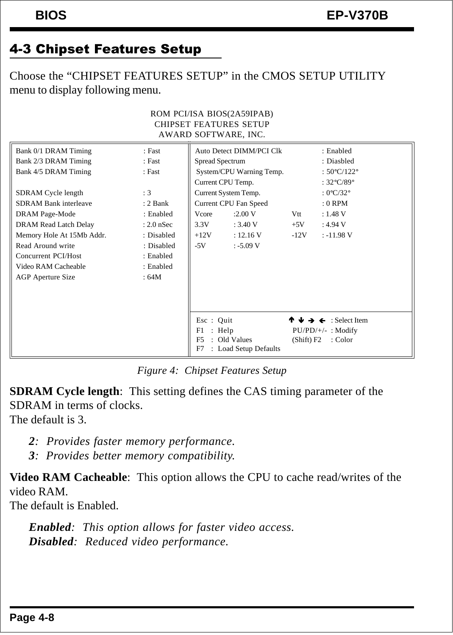#### 4-3 Chipset Features Setup

Choose the "CHIPSET FEATURES SETUP" in the CMOS SETUP UTILITY menu to display following menu.

#### ROM PCI/ISA BIOS(2A59IPAB) CHIPSET FEATURES SETUP AWARD SOFTWARE, INC.

| Bank 0/1 DRAM Timing         | : Fast       |                          | Auto Detect DIMM/PCI Clk |            | : Enabled                      |
|------------------------------|--------------|--------------------------|--------------------------|------------|--------------------------------|
| Bank 2/3 DRAM Timing         | : Fast       | Spread Spectrum          |                          |            | : Diasbled                     |
| Bank 4/5 DRAM Timing         | : Fast       | System/CPU Warning Temp. |                          |            | : $50^{\circ}$ C/122°          |
|                              |              | Current CPU Temp.        |                          |            | : $32^{\circ}$ C/89 $^{\circ}$ |
| SDRAM Cycle length           | :3           |                          | Current System Temp.     |            | : $0^{\circ}C/32^{\circ}$      |
| <b>SDRAM Bank interleave</b> | $: 2$ Bank   |                          | Current CPU Fan Speed    |            | $: 0$ RPM                      |
| DRAM Page-Mode               | : Enabled    | Vcore                    | :2.00 V                  | Vtt        | : 1.48 V                       |
| DRAM Read Latch Delay        | $: 2.0$ nSec | 3.3V                     | : 3.40 V                 | $+5V$      | : 4.94 V                       |
| Memory Hole At 15Mb Addr.    | : Disabled   | $+12V$                   | : 12.16 V                | $-12V$     | $: -11.98 V$                   |
| Read Around write            | : Disabled   | $-5V$                    | $: -5.09 V$              |            |                                |
| Concurrent PCI/Host          | : Enabled    |                          |                          |            |                                |
| Video RAM Cacheable          | : Enabled    |                          |                          |            |                                |
| <b>AGP</b> Aperture Size     | :64M         |                          |                          |            |                                |
|                              |              |                          |                          |            |                                |
|                              |              |                          |                          |            |                                |
|                              |              |                          |                          |            |                                |
|                              |              | Esc : Quit               |                          |            | $\triangle$ : Select Item      |
|                              |              | : Help<br>F1             |                          |            | $PU/PD/+/-$ : Modify           |
|                              |              | F <sub>5</sub>           | Old Values               | (Shift) F2 | : Color                        |
|                              |              | F7                       | : Load Setup Defaults    |            |                                |

*Figure 4: Chipset Features Setup*

**SDRAM Cycle length**: This setting defines the CAS timing parameter of the SDRAM in terms of clocks.

The default is 3.

- *2: Provides faster memory performance.*
- *3: Provides better memory compatibility.*

**Video RAM Cacheable**: This option allows the CPU to cache read/writes of the video RAM.

The default is Enabled.

*Enabled: This option allows for faster video access. Disabled: Reduced video performance.*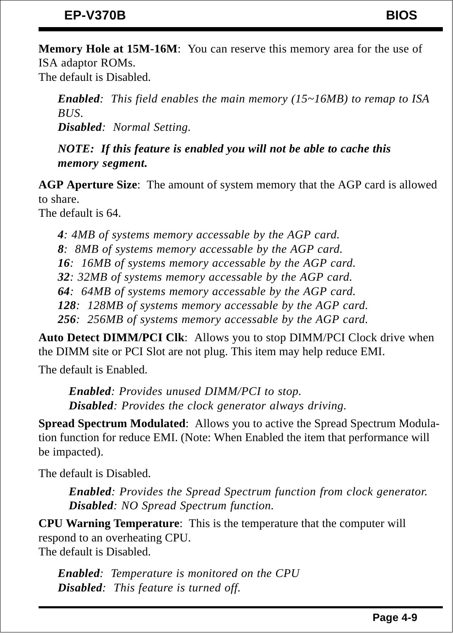**Memory Hole at 15M-16M**: You can reserve this memory area for the use of ISA adaptor ROMs.

The default is Disabled.

*Enabled: This field enables the main memory (15~16MB) to remap to ISA BUS. Disabled: Normal Setting.*

*NOTE: If this feature is enabled you will not be able to cache this memory segment.*

**AGP Aperture Size**: The amount of system memory that the AGP card is allowed to share.

The default is 64.

*: 4MB of systems memory accessable by the AGP card. : 8MB of systems memory accessable by the AGP card. : 16MB of systems memory accessable by the AGP card. : 32MB of systems memory accessable by the AGP card. : 64MB of systems memory accessable by the AGP card. : 128MB of systems memory accessable by the AGP card. : 256MB of systems memory accessable by the AGP card.*

**Auto Detect DIMM/PCI Clk**: Allows you to stop DIMM/PCI Clock drive when the DIMM site or PCI Slot are not plug. This item may help reduce EMI.

The default is Enabled.

*Enabled: Provides unused DIMM/PCI to stop. Disabled: Provides the clock generator always driving.*

**Spread Spectrum Modulated**: Allows you to active the Spread Spectrum Modulation function for reduce EMI. (Note: When Enabled the item that performance will be impacted).

The default is Disabled.

*Enabled: Provides the Spread Spectrum function from clock generator. Disabled: NO Spread Spectrum function.*

**CPU Warning Temperature**: This is the temperature that the computer will respond to an overheating CPU. The default is Disabled.

*Enabled: Temperature is monitored on the CPU Disabled: This feature is turned off.*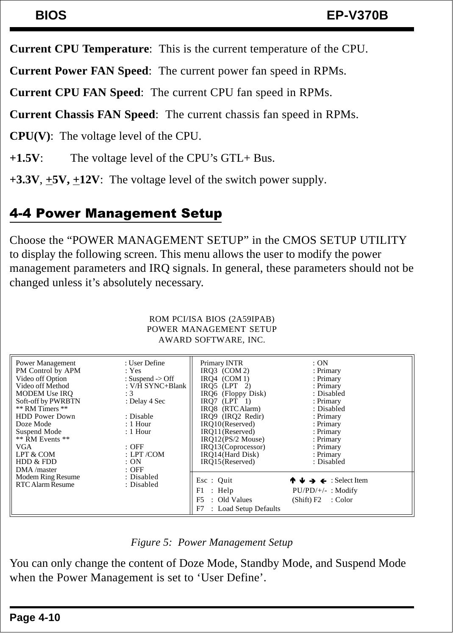**Current CPU Temperature**: This is the current temperature of the CPU.

**Current Power FAN Speed**: The current power fan speed in RPMs.

**Current CPU FAN Speed**: The current CPU fan speed in RPMs.

**Current Chassis FAN Speed**: The current chassis fan speed in RPMs.

**CPU(V)**: The voltage level of the CPU.

**+1.5V**: The voltage level of the CPU's GTL+ Bus.

**+3.3V**, **+5V, +12V**: The voltage level of the switch power supply.

#### 4-4 Power Management Setup

Choose the "POWER MANAGEMENT SETUP" in the CMOS SETUP UTILITY to display the following screen. This menu allows the user to modify the power management parameters and IRQ signals. In general, these parameters should not be changed unless it's absolutely necessary.

| <b>Power Management</b><br>PM Control by APM<br>Video off Option<br>Video off Method<br><b>MODEM Use IRO</b><br>Soft-off by PWRBTN<br>** RM Timers **<br><b>HDD Power Down</b><br>Doze Mode<br>Suspend Mode<br>** RM Events **<br>VGA<br>LPT & COM | : User Define<br>: Yes<br>: Suspend $\rightarrow$ Off<br>: V/H SYNC+Blank<br>:3<br>: Delay 4 Sec<br>: Disable<br>$: 1$ Hour<br>$: 1$ Hour<br>$:$ OFF<br>: LPT $/COM$ | Primary INTR<br>$IRO3$ (COM 2)<br>IRO4 (COM 1)<br>$IRO5$ (LPT 2)<br>IRQ6 (Floppy Disk)<br>$IRO7$ (LPT 1)<br>IRO8 (RTC Alarm)<br>IRO9 (IRO2 Redir)<br>IRO10(Reserved)<br>IRO11(Reserved)<br>$IRO12$ (PS/2 Mouse)<br>IRQ13(Coprocessor)<br>IRO14(Hard Disk) | :ON<br>: Primary<br>: Primary<br>: Primary<br>: Disabled<br>: Primary<br>: Disabled<br>: Primary<br>: Primary<br>: Primary<br>: Primary<br>: Primary<br>: Primary |
|----------------------------------------------------------------------------------------------------------------------------------------------------------------------------------------------------------------------------------------------------|----------------------------------------------------------------------------------------------------------------------------------------------------------------------|-----------------------------------------------------------------------------------------------------------------------------------------------------------------------------------------------------------------------------------------------------------|-------------------------------------------------------------------------------------------------------------------------------------------------------------------|
| HDD & FDD<br>DMA /master<br>Modem Ring Resume<br>RTC Alarm Resume                                                                                                                                                                                  | : ON<br>$:$ OFF<br>: Disabled<br>: Disabled                                                                                                                          | IRO15(Reserved)<br>Esc: Ouit                                                                                                                                                                                                                              | : Disabled<br>$\uparrow \uparrow \rightarrow \leftarrow$ : Select Item                                                                                            |
|                                                                                                                                                                                                                                                    |                                                                                                                                                                      | : Help<br>F1.<br>: Old Values<br>F5<br>F7<br>: Load Setup Defaults                                                                                                                                                                                        | $PU/PD/+/-$ : Modify<br>(Shift) F2<br>: Color                                                                                                                     |

#### ROM PCI/ISA BIOS (2A59IPAB) POWER MANAGEMENT SETUP AWARD SOFTWARE, INC.

#### *Figure 5: Power Management Setup*

You can only change the content of Doze Mode, Standby Mode, and Suspend Mode when the Power Management is set to 'User Define'.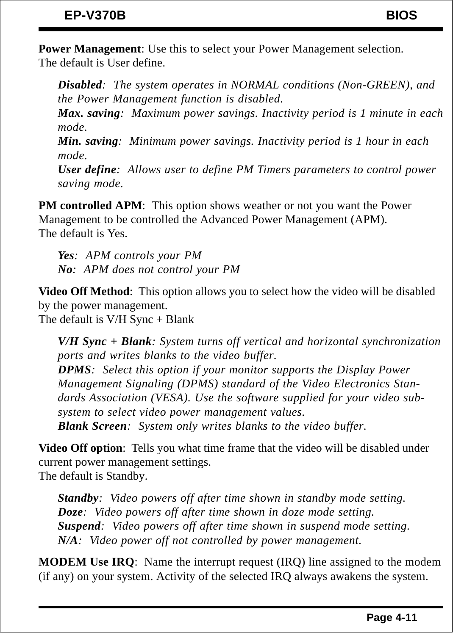**Power Management**: Use this to select your Power Management selection. The default is User define.

*Disabled: The system operates in NORMAL conditions (Non-GREEN), and the Power Management function is disabled. Max. saving: Maximum power savings. Inactivity period is 1 minute in each mode. Min. saving: Minimum power savings. Inactivity period is 1 hour in each mode. User define: Allows user to define PM Timers parameters to control power*

*saving mode.*

**PM controlled APM**: This option shows weather or not you want the Power Management to be controlled the Advanced Power Management (APM). The default is Yes.

*Yes: APM controls your PM No: APM does not control your PM*

**Video Off Method**: This option allows you to select how the video will be disabled by the power management. The default is  $V/H$  Sync + Blank

*V/H Sync + Blank: System turns off vertical and horizontal synchronization ports and writes blanks to the video buffer. DPMS: Select this option if your monitor supports the Display Power Management Signaling (DPMS) standard of the Video Electronics Standards Association (VESA). Use the software supplied for your video subsystem to select video power management values. Blank Screen: System only writes blanks to the video buffer.*

**Video Off option**: Tells you what time frame that the video will be disabled under current power management settings.

The default is Standby.

*Standby: Video powers off after time shown in standby mode setting. Doze: Video powers off after time shown in doze mode setting. Suspend: Video powers off after time shown in suspend mode setting. N/A: Video power off not controlled by power management.*

**MODEM Use IRQ**: Name the interrupt request (IRQ) line assigned to the modem (if any) on your system. Activity of the selected IRQ always awakens the system.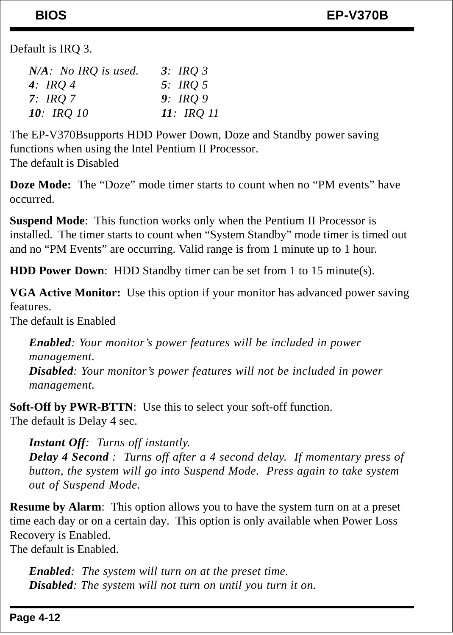Default is IRQ 3.

| $N/A$ : No IRQ is used. | 3: IRQ3      |
|-------------------------|--------------|
| 4: $IRO.4$              | 5: $IRO$ 5   |
| 7: IRO 7                | 9: IRO.9     |
| 10: IRQ 10              | $11:$ IRQ 11 |

The EP-V370Bsupports HDD Power Down, Doze and Standby power saving functions when using the Intel Pentium II Processor. The default is Disabled

**Doze Mode:** The "Doze" mode timer starts to count when no "PM events" have occurred.

**Suspend Mode**: This function works only when the Pentium II Processor is installed. The timer starts to count when "System Standby" mode timer is timed out and no "PM Events" are occurring. Valid range is from 1 minute up to 1 hour.

**HDD Power Down**: HDD Standby timer can be set from 1 to 15 minute(s).

**VGA Active Monitor:** Use this option if your monitor has advanced power saving features.

The default is Enabled

*Enabled: Your monitor's power features will be included in power management. Disabled: Your monitor's power features will not be included in power management.*

**Soft-Off by PWR-BTTN**: Use this to select your soft-off function. The default is Delay 4 sec.

*Instant Off: Turns off instantly.*

*Delay 4 Second : Turns off after a 4 second delay. If momentary press of button, the system will go into Suspend Mode. Press again to take system out of Suspend Mode.*

**Resume by Alarm:** This option allows you to have the system turn on at a preset time each day or on a certain day. This option is only available when Power Loss Recovery is Enabled.

The default is Enabled.

*Enabled: The system will turn on at the preset time. Disabled: The system will not turn on until you turn it on.*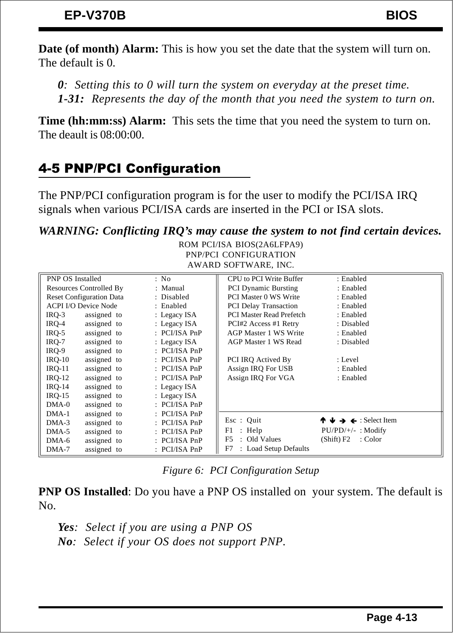**Date (of month) Alarm:** This is how you set the date that the system will turn on. The default is 0.

*0: Setting this to 0 will turn the system on everyday at the preset time. 1-31: Represents the day of the month that you need the system to turn on.*

**Time (hh:mm:ss) Alarm:** This sets the time that you need the system to turn on. The deault is 08:00:00.

#### 4-5 PNP/PCI Configuration

The PNP/PCI configuration program is for the user to modify the PCI/ISA IRQ signals when various PCI/ISA cards are inserted in the PCI or ISA slots.

*WARNING: Conflicting IRQ's may cause the system to not find certain devices.*

ROM PCI/ISA BIOS(2A6LFPA9) PNP/PCI CONFIGURATION AWARD SOFTWARE, INC.

| <b>PNP OS Installed</b>         | : No            | CPU to PCI Write Buffer         | : Enabled                                                |
|---------------------------------|-----------------|---------------------------------|----------------------------------------------------------|
| Resources Controlled By         | : Manual        | <b>PCI Dynamic Bursting</b>     | : Enabled                                                |
| <b>Reset Configuration Data</b> | : Disabled      | PCI Master 0 WS Write           | : Enabled                                                |
| <b>ACPI I/O Device Node</b>     | : Enabled       | <b>PCI Delay Transaction</b>    | : Enabled                                                |
| $IRO-3$<br>assigned to          | : Legacy ISA    | <b>PCI Master Read Prefetch</b> | : Enabled                                                |
| $IRO-4$<br>assigned to          | $:$ Legacy ISA  | PCI#2 Access #1 Retry           | : Disabled                                               |
| $IRO-5$<br>assigned to          | $: PCUISA$ PnP  | AGP Master 1 WS Write           | : Enabled                                                |
| $IRO-7$<br>assigned to          | : Legacy ISA    | AGP Master 1 WS Read            | : Disabled                                               |
| $IRQ-9$<br>assigned to          | $: PCI/ISA$ PnP |                                 |                                                          |
| $IRO-10$<br>assigned to         | $: PCI/ISA$ PnP | PCI IRO Actived By              | : Level                                                  |
| $IRO-11$<br>assigned to         | : PCI/ISA PnP   | Assign IRO For USB              | : Enabled                                                |
| $IRO-12$<br>assigned to         | $: PCI/ISA$ PnP | Assign IRO For VGA              | : Enabled                                                |
| $IRO-14$<br>assigned to         | : Legacy ISA    |                                 |                                                          |
| $IRO-15$<br>assigned to         | $:$ Legacy ISA  |                                 |                                                          |
| $DMA-0$<br>assigned to          | $: PCI/ISA$ PnP |                                 |                                                          |
| assigned to<br>$DMA-1$          | $: PCI/ISA$ PnP |                                 |                                                          |
| $DMA-3$<br>assigned to          | $: PCI/ISA$ PnP | Esc: Quit                       | $\uparrow \uparrow \rightarrow \leftarrow$ : Select Item |
| $DMA-5$<br>assigned to          | : PCI/ISA PnP   | $\therefore$ Help<br>F1         | $PU/PD/+/-$ : Modify                                     |
| DMA-6<br>assigned to            | : PCI/ISA PnP   | : Old Values<br>F5              | (Shift) F2<br>: Color                                    |
| $DMA-7$<br>assigned to          | : PCI/ISA PnP   | : Load Setup Defaults<br>F7     |                                                          |

*Figure 6: PCI Configuration Setup*

**PNP OS Installed**: Do you have a PNP OS installed on your system. The default is No.

*Yes: Select if you are using a PNP OS*

*No: Select if your OS does not support PNP.*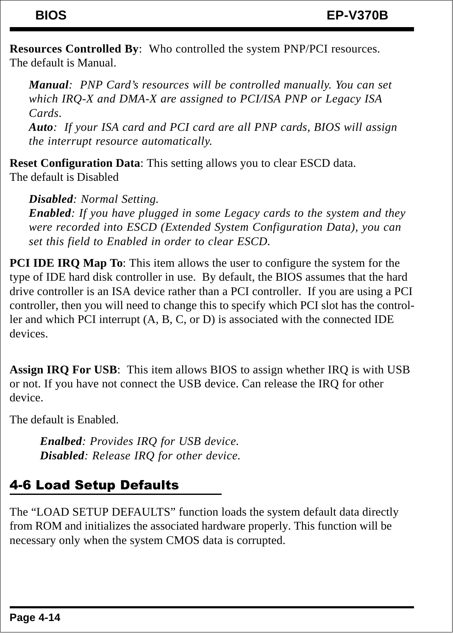**Resources Controlled By**: Who controlled the system PNP/PCI resources. The default is Manual.

*Manual: PNP Card's resources will be controlled manually. You can set which IRQ-X and DMA-X are assigned to PCI/ISA PNP or Legacy ISA Cards. Auto: If your ISA card and PCI card are all PNP cards, BIOS will assign the interrupt resource automatically.*

**Reset Configuration Data**: This setting allows you to clear ESCD data. The default is Disabled

*Disabled: Normal Setting.*

*Enabled: If you have plugged in some Legacy cards to the system and they were recorded into ESCD (Extended System Configuration Data), you can set this field to Enabled in order to clear ESCD.*

**PCI IDE IRQ Map To:** This item allows the user to configure the system for the type of IDE hard disk controller in use. By default, the BIOS assumes that the hard drive controller is an ISA device rather than a PCI controller. If you are using a PCI controller, then you will need to change this to specify which PCI slot has the controller and which PCI interrupt (A, B, C, or D) is associated with the connected IDE devices.

**Assign IRQ For USB**: This item allows BIOS to assign whether IRQ is with USB or not. If you have not connect the USB device. Can release the IRQ for other device.

The default is Enabled.

*Enalbed: Provides IRQ for USB device. Disabled: Release IRQ for other device.*

#### 4-6 Load Setup Defaults

The "LOAD SETUP DEFAULTS" function loads the system default data directly from ROM and initializes the associated hardware properly. This function will be necessary only when the system CMOS data is corrupted.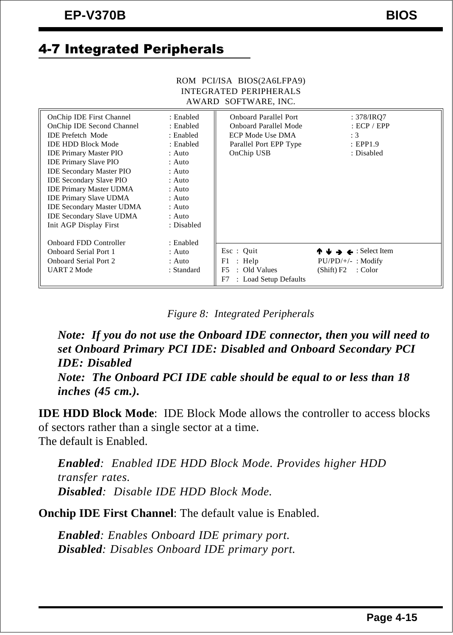#### 4-7 Integrated Peripherals

| ROM PCI/ISA BIOS(2A6LFPA9)<br>INTEGRATED PERIPHERALS<br>AWARD SOFTWARE, INC.                                                                                                                                                                                                                                                                                                                                                                              |                                                                                                                                                               |                                                                                                                          |                                                                                                        |
|-----------------------------------------------------------------------------------------------------------------------------------------------------------------------------------------------------------------------------------------------------------------------------------------------------------------------------------------------------------------------------------------------------------------------------------------------------------|---------------------------------------------------------------------------------------------------------------------------------------------------------------|--------------------------------------------------------------------------------------------------------------------------|--------------------------------------------------------------------------------------------------------|
| OnChip IDE First Channel<br>OnChip IDE Second Channel<br><b>IDE Prefetch Mode</b><br><b>IDE HDD Block Mode</b><br><b>IDE Primary Master PIO</b><br><b>IDE Primary Slave PIO</b><br><b>IDE Secondary Master PIO</b><br><b>IDE Secondary Slave PIO</b><br><b>IDE Primary Master UDMA</b><br><b>IDE Primary Slave UDMA</b><br><b>IDE Secondary Master UDMA</b><br><b>IDE Secondary Slave UDMA</b><br>Init AGP Display First<br><b>Onboard FDD Controller</b> | : Enabled<br>: Enabled<br>: Enabled<br>: Enabled<br>: Auto<br>: Auto<br>: Auto<br>$:$ Auto<br>: Auto<br>: Auto<br>: Auto<br>: Auto<br>: Disabled<br>: Enabled | <b>Onboard Parallel Port</b><br><b>Onboard Parallel Mode</b><br>ECP Mode Use DMA<br>Parallel Port EPP Type<br>OnChip USB | : 378/IRO7<br>ECP / EPP<br>:3<br>EPP1.9<br>: Disabled                                                  |
| <b>Onboard Serial Port 1</b><br><b>Onboard Serial Port 2</b><br><b>UART 2 Mode</b>                                                                                                                                                                                                                                                                                                                                                                        | $:$ Auto<br>$:$ Auto<br>: Standard                                                                                                                            | Esc: Ouit<br>: Help<br>F1<br>: Old Values<br>F5                                                                          | $\uparrow \uparrow \rightarrow \bullet$ : Select Item<br>$PU/PD/+/-$ : Modify<br>(Shift) F2<br>: Color |
|                                                                                                                                                                                                                                                                                                                                                                                                                                                           |                                                                                                                                                               | F7<br>: Load Setup Defaults                                                                                              |                                                                                                        |

*Figure 8: Integrated Peripherals*

*Note: If you do not use the Onboard IDE connector, then you will need to set Onboard Primary PCI IDE: Disabled and Onboard Secondary PCI IDE: Disabled Note: The Onboard PCI IDE cable should be equal to or less than 18 inches (45 cm.).*

**IDE HDD Block Mode**: IDE Block Mode allows the controller to access blocks of sectors rather than a single sector at a time. The default is Enabled.

*Enabled: Enabled IDE HDD Block Mode. Provides higher HDD transfer rates. Disabled: Disable IDE HDD Block Mode.*

**Onchip IDE First Channel**: The default value is Enabled.

*Enabled: Enables Onboard IDE primary port. Disabled: Disables Onboard IDE primary port.*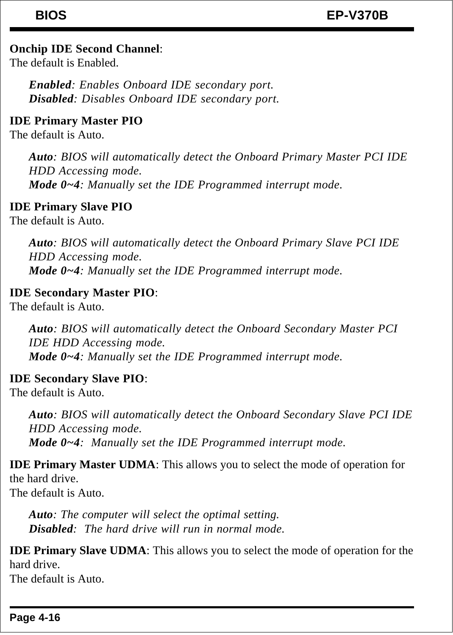#### **Onchip IDE Second Channel**:

The default is Enabled.

*Enabled: Enables Onboard IDE secondary port. Disabled: Disables Onboard IDE secondary port.*

#### **IDE Primary Master PIO**

The default is Auto.

*Auto: BIOS will automatically detect the Onboard Primary Master PCI IDE HDD Accessing mode. Mode 0~4: Manually set the IDE Programmed interrupt mode.*

#### **IDE Primary Slave PIO**

The default is Auto.

*Auto: BIOS will automatically detect the Onboard Primary Slave PCI IDE HDD Accessing mode. Mode 0~4: Manually set the IDE Programmed interrupt mode.*

#### **IDE Secondary Master PIO**:

The default is Auto.

*Auto: BIOS will automatically detect the Onboard Secondary Master PCI IDE HDD Accessing mode. Mode 0~4: Manually set the IDE Programmed interrupt mode.*

#### **IDE Secondary Slave PIO**:

The default is Auto.

*Auto: BIOS will automatically detect the Onboard Secondary Slave PCI IDE HDD Accessing mode. Mode 0~4: Manually set the IDE Programmed interrupt mode.*

**IDE Primary Master UDMA**: This allows you to select the mode of operation for the hard drive. The default is Auto.

*Auto: The computer will select the optimal setting. Disabled: The hard drive will run in normal mode.*

**IDE Primary Slave UDMA**: This allows you to select the mode of operation for the hard drive. The default is Auto.

**Page 4-16**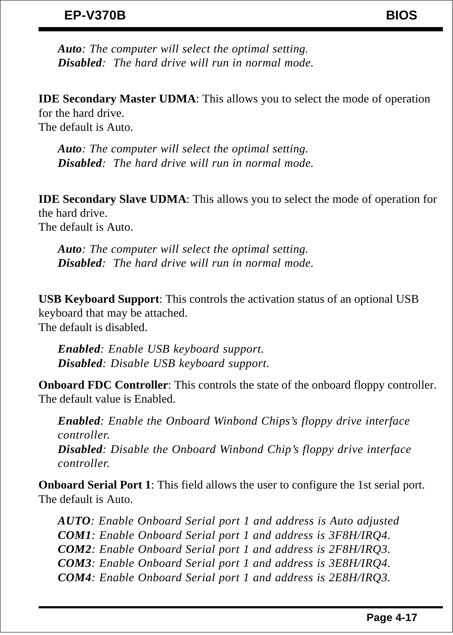*Auto: The computer will select the optimal setting. Disabled: The hard drive will run in normal mode.*

**IDE Secondary Master UDMA**: This allows you to select the mode of operation for the hard drive.

The default is Auto.

*Auto: The computer will select the optimal setting. Disabled: The hard drive will run in normal mode.*

**IDE Secondary Slave UDMA**: This allows you to select the mode of operation for the hard drive.

The default is Auto.

*Auto: The computer will select the optimal setting. Disabled: The hard drive will run in normal mode.*

**USB Keyboard Support**: This controls the activation status of an optional USB keyboard that may be attached. The default is disabled.

*Enabled: Enable USB keyboard support. Disabled: Disable USB keyboard support.*

**Onboard FDC Controller**: This controls the state of the onboard floppy controller. The default value is Enabled.

*Enabled: Enable the Onboard Winbond Chips's floppy drive interface controller. Disabled: Disable the Onboard Winbond Chip's floppy drive interface controller.*

**Onboard Serial Port 1**: This field allows the user to configure the 1st serial port. The default is Auto.

*AUTO: Enable Onboard Serial port 1 and address is Auto adjusted COM1: Enable Onboard Serial port 1 and address is 3F8H/IRQ4. COM2: Enable Onboard Serial port 1 and address is 2F8H/IRQ3. COM3: Enable Onboard Serial port 1 and address is 3E8H/IRQ4. COM4: Enable Onboard Serial port 1 and address is 2E8H/IRQ3.*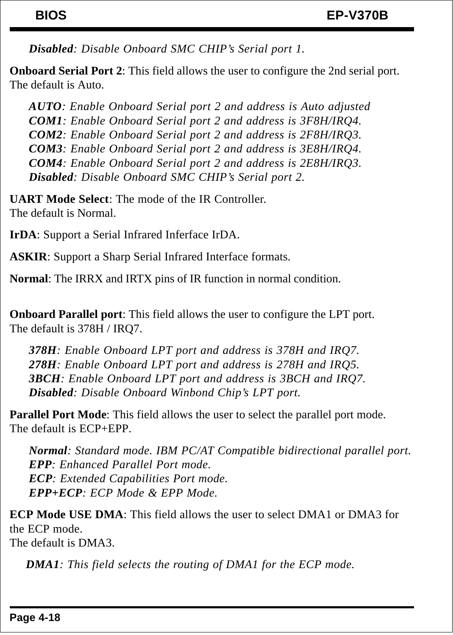*Disabled: Disable Onboard SMC CHIP's Serial port 1.*

**Onboard Serial Port 2**: This field allows the user to configure the 2nd serial port. The default is Auto.

*AUTO: Enable Onboard Serial port 2 and address is Auto adjusted COM1: Enable Onboard Serial port 2 and address is 3F8H/IRQ4. COM2: Enable Onboard Serial port 2 and address is 2F8H/IRQ3. COM3: Enable Onboard Serial port 2 and address is 3E8H/IRQ4. COM4: Enable Onboard Serial port 2 and address is 2E8H/IRQ3. Disabled: Disable Onboard SMC CHIP's Serial port 2.*

**UART Mode Select**: The mode of the IR Controller. The default is Normal.

**IrDA**: Support a Serial Infrared Inferface IrDA.

**ASKIR**: Support a Sharp Serial Infrared Interface formats.

**Normal**: The IRRX and IRTX pins of IR function in normal condition.

**Onboard Parallel port**: This field allows the user to configure the LPT port. The default is 378H / IRQ7.

*378H: Enable Onboard LPT port and address is 378H and IRQ7. 278H: Enable Onboard LPT port and address is 278H and IRQ5. 3BCH: Enable Onboard LPT port and address is 3BCH and IRQ7. Disabled: Disable Onboard Winbond Chip's LPT port.*

**Parallel Port Mode**: This field allows the user to select the parallel port mode. The default is ECP+EPP.

*Normal: Standard mode. IBM PC/AT Compatible bidirectional parallel port. EPP: Enhanced Parallel Port mode. ECP: Extended Capabilities Port mode. EPP+ECP: ECP Mode & EPP Mode.*

**ECP Mode USE DMA**: This field allows the user to select DMA1 or DMA3 for the ECP mode. The default is DMA3.

*DMA1: This field selects the routing of DMA1 for the ECP mode.*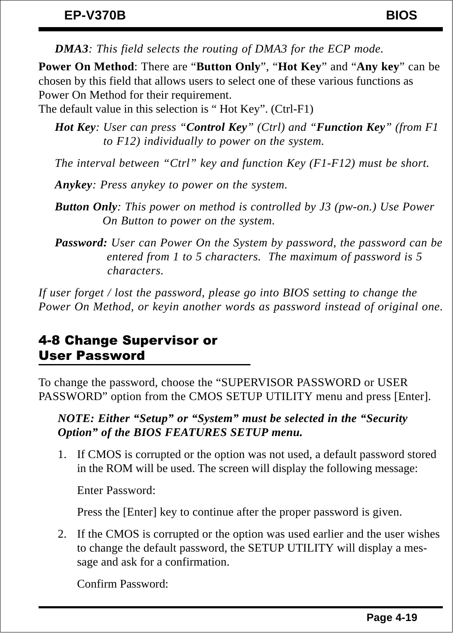*DMA3: This field selects the routing of DMA3 for the ECP mode.*

**Power On Method**: There are "**Button Only**", "**Hot Key**" and "**Any key**" can be chosen by this field that allows users to select one of these various functions as Power On Method for their requirement.

The default value in this selection is " Hot Key". (Ctrl-F1)

*Hot Key: User can press "Control Key" (Ctrl) and "Function Key" (from F1 to F12) individually to power on the system.*

*The interval between "Ctrl" key and function Key (F1-F12) must be short.*

*Anykey: Press anykey to power on the system.*

*Button Only: This power on method is controlled by J3 (pw-on.) Use Power On Button to power on the system.*

*Password: User can Power On the System by password, the password can be entered from 1 to 5 characters. The maximum of password is 5 characters.*

*If user forget / lost the password, please go into BIOS setting to change the Power On Method, or keyin another words as password instead of original one.*

#### 4-8 Change Supervisor or User Password

To change the password, choose the "SUPERVISOR PASSWORD or USER PASSWORD" option from the CMOS SETUP UTILITY menu and press [Enter].

#### *NOTE: Either "Setup" or "System" must be selected in the "Security Option" of the BIOS FEATURES SETUP menu.*

1. If CMOS is corrupted or the option was not used, a default password stored in the ROM will be used. The screen will display the following message:

Enter Password:

Press the [Enter] key to continue after the proper password is given.

2. If the CMOS is corrupted or the option was used earlier and the user wishes to change the default password, the SETUP UTILITY will display a message and ask for a confirmation.

Confirm Password: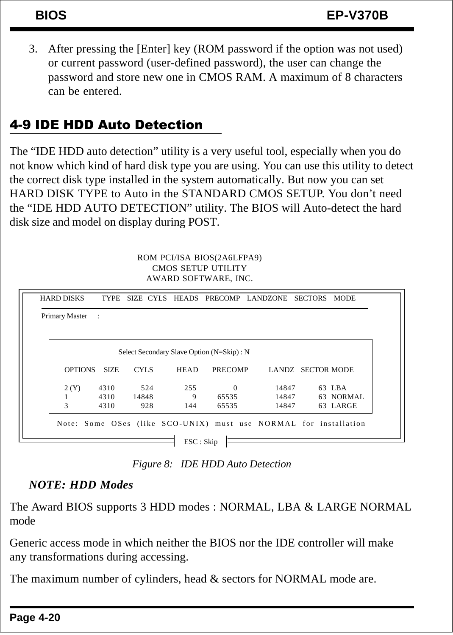3. After pressing the [Enter] key (ROM password if the option was not used) or current password (user-defined password), the user can change the password and store new one in CMOS RAM. A maximum of 8 characters can be entered.

#### 4-9 IDE HDD Auto Detection

The "IDE HDD auto detection" utility is a very useful tool, especially when you do not know which kind of hard disk type you are using. You can use this utility to detect the correct disk type installed in the system automatically. But now you can set HARD DISK TYPE to Auto in the STANDARD CMOS SETUP. You don't need the "IDE HDD AUTO DETECTION" utility. The BIOS will Auto-detect the hard disk size and model on display during POST.

#### ROM PCI/ISA BIOS(2A6LFPA9) CMOS SETUP UTILITY AWARD SOFTWARE, INC.

|                |             |       |             | Select Secondary Slave Option (N=Skip) : N |       |                          |  |
|----------------|-------------|-------|-------------|--------------------------------------------|-------|--------------------------|--|
| <b>OPTIONS</b> | <b>SIZE</b> | CYLS. | <b>HEAD</b> | <b>PRECOMP</b>                             |       | <b>LANDZ SECTOR MODE</b> |  |
| 2(Y)           | 4310        | 524   | 255         | $\Omega$                                   | 14847 | 63 LBA                   |  |
|                | 4310        | 14848 | 9           | 65535                                      | 14847 | 63 NORMAL                |  |
| 3              | 4310        | 928   | 144         | 65535                                      | 14847 | 63 LARGE                 |  |

*Figure 8: IDE HDD Auto Detection*

#### *NOTE: HDD Modes*

The Award BIOS supports 3 HDD modes : NORMAL, LBA & LARGE NORMAL mode

Generic access mode in which neither the BIOS nor the IDE controller will make any transformations during accessing.

The maximum number of cylinders, head  $\&$  sectors for NORMAL mode are.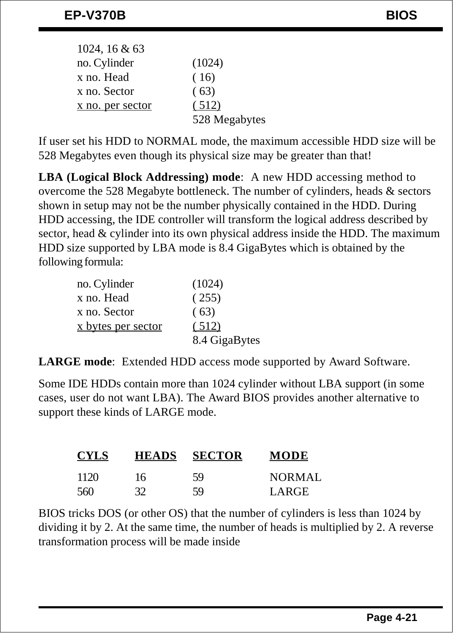| 1024, 16 $& 63$  |               |
|------------------|---------------|
| no. Cylinder     | (1024)        |
| x no. Head       | (16)          |
| x no. Sector     | (63)          |
| x no. per sector | (512)         |
|                  | 528 Megabytes |

If user set his HDD to NORMAL mode, the maximum accessible HDD size will be 528 Megabytes even though its physical size may be greater than that!

**LBA (Logical Block Addressing) mode**: A new HDD accessing method to overcome the 528 Megabyte bottleneck. The number of cylinders, heads & sectors shown in setup may not be the number physically contained in the HDD. During HDD accessing, the IDE controller will transform the logical address described by sector, head & cylinder into its own physical address inside the HDD. The maximum HDD size supported by LBA mode is 8.4 GigaBytes which is obtained by the following formula:

| (1024)        |
|---------------|
| (255)         |
| (63)          |
| (512)         |
| 8.4 GigaBytes |
|               |

**LARGE mode**: Extended HDD access mode supported by Award Software.

Some IDE HDDs contain more than 1024 cylinder without LBA support (in some cases, user do not want LBA). The Award BIOS provides another alternative to support these kinds of LARGE mode.

| <b>CYLS</b> | <b>HEADS</b> | <b>SECTOR</b> | <b>MODE</b> |
|-------------|--------------|---------------|-------------|
| 1120        | 16           | 59            | NORMAL      |
| 560         | 32.          | 59            | LARGE       |

BIOS tricks DOS (or other OS) that the number of cylinders is less than 1024 by dividing it by 2. At the same time, the number of heads is multiplied by 2. A reverse transformation process will be made inside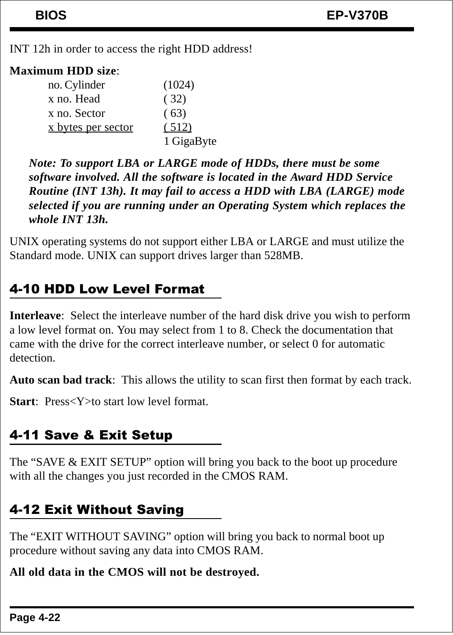INT 12h in order to access the right HDD address!

#### **Maximum HDD size**:

| no. Cylinder       | (1024)     |
|--------------------|------------|
| x no. Head         | (32)       |
| x no. Sector       | (63)       |
| x bytes per sector | (512)      |
|                    | 1 GigaByte |

*Note: To support LBA or LARGE mode of HDDs, there must be some software involved. All the software is located in the Award HDD Service Routine (INT 13h). It may fail to access a HDD with LBA (LARGE) mode selected if you are running under an Operating System which replaces the whole INT 13h.*

UNIX operating systems do not support either LBA or LARGE and must utilize the Standard mode. UNIX can support drives larger than 528MB.

## 4-10 HDD Low Level Format

**Interleave**: Select the interleave number of the hard disk drive you wish to perform a low level format on. You may select from 1 to 8. Check the documentation that came with the drive for the correct interleave number, or select 0 for automatic detection.

**Auto scan bad track**: This allows the utility to scan first then format by each track.

**Start:** Press<Y>to start low level format.

## 4-11 Save & Exit Setup

The "SAVE  $&$  EXIT SETUP" option will bring you back to the boot up procedure with all the changes you just recorded in the CMOS RAM.

## 4-12 Exit Without Saving

The "EXIT WITHOUT SAVING" option will bring you back to normal boot up procedure without saving any data into CMOS RAM.

#### **All old data in the CMOS will not be destroyed.**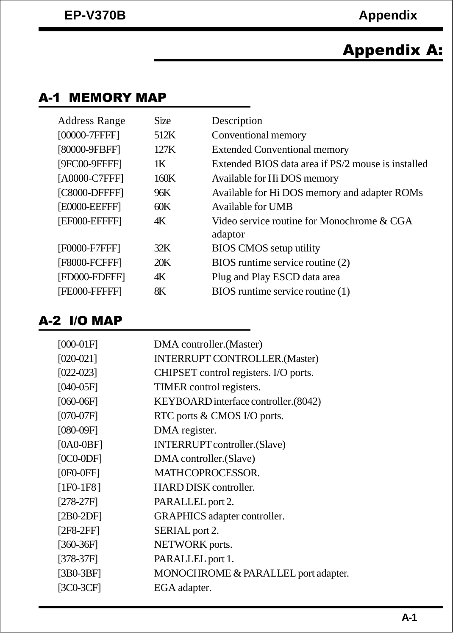## Appendix A:

## A-1 MEMORY MAP

| <b>Address Range</b> | <b>Size</b> | Description                                           |
|----------------------|-------------|-------------------------------------------------------|
| [00000-7FFFF]        | 512K        | Conventional memory                                   |
| [80000-9FBFF]        | 127K        | <b>Extended Conventional memory</b>                   |
| [9FC00-9FFFF]        | 1Κ          | Extended BIOS data area if PS/2 mouse is installed    |
| [A0000-C7FFF]        | 160K        | Available for Hi DOS memory                           |
| [C8000-DFFFF]        | 96K         | Available for Hi DOS memory and adapter ROMs          |
| [E0000-EEFFF]        | 60K         | Available for UMB                                     |
| <b>[EF000-EFFFF]</b> | 4K          | Video service routine for Monochrome & CGA<br>adaptor |
| [F0000-F7FFF]        | 32K         | <b>BIOS CMOS</b> setup utility                        |
| [F8000-FCFFF]        | 20K         | BIOS runtime service routine (2)                      |
| [FD000-FDFFF]        | 4K          | Plug and Play ESCD data area                          |
| <b>IFE000-FFFFFI</b> | 8K          | BIOS runtime service routine (1)                      |

#### A-2 I/O MAP

| $[000-01$ Fl | DMA controller. (Master)              |
|--------------|---------------------------------------|
| $[020-021]$  | <b>INTERRUPT CONTROLLER.</b> (Master) |
| $[022-023]$  | CHIPSET control registers. I/O ports. |
| $[040-05F]$  | TIMER control registers.              |
| $[060-06F]$  | KEYBOARD interface controller. (8042) |
| $[070-07F]$  | RTC ports & CMOS I/O ports.           |
| $[080-09F]$  | DMA register.                         |
| $[0A0-0BF]$  | INTERRUPT controller. (Slave)         |
| $[0C0-0DF]$  | DMA controller. (Slave)               |
| $[0F0-0FF]$  | <b>MATHCOPROCESSOR.</b>               |
| $[1F0-1F8]$  | HARD DISK controller.                 |
| $[278-27F]$  | PARALLEL port 2.                      |
| $[2B0-2DF]$  | GRAPHICS adapter controller.          |
| $[2F8-2FF]$  | SERIAL port 2.                        |
| $[360-36F]$  | NETWORK ports.                        |
| $[378-37F]$  | PARALLEL port 1.                      |
| $[3B0-3BF]$  | MONOCHROME & PARALLEL port adapter.   |
| [3C0-3CF]    | EGA adapter.                          |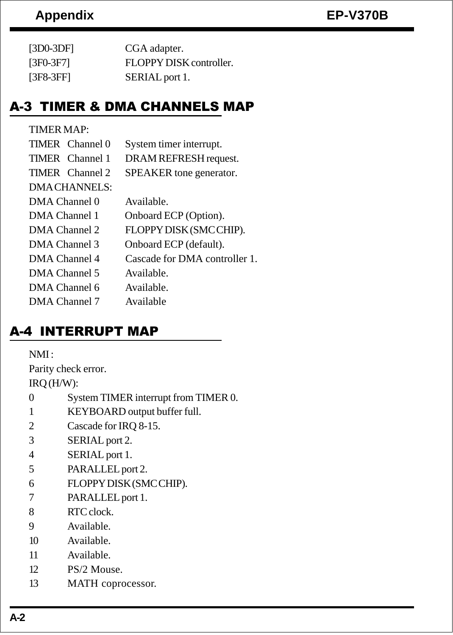| $[3D0-3DF]$ | CGA adapter.            |
|-------------|-------------------------|
| $[3F0-3F7]$ | FLOPPY DISK controller. |
| $[3F8-3FF]$ | SERIAL port 1.          |

#### A-3 TIMER & DMA CHANNELS MAP

| <b>TIMER MAP:</b> |                               |
|-------------------|-------------------------------|
| TIMER Channel 0   | System timer interrupt.       |
| TIMER Channel 1   | DRAM REFRESH request.         |
| TIMER Channel 2   | SPEAKER tone generator.       |
| DMA CHANNELS:     |                               |
| DMA Channel 0     | Available.                    |
| DMA Channel 1     | Onboard ECP (Option).         |
| DMA Channel 2     | FLOPPY DISK (SMCCHIP).        |
| DMA Channel 3     | Onboard ECP (default).        |
| DMA Channel 4     | Cascade for DMA controller 1. |
| DMA Channel 5     | Available.                    |
| DMA Channel 6     | Available.                    |
| DMA Channel 7     | Available                     |
|                   |                               |

#### A-4 INTERRUPT MAP

NMI :

Parity check error.

IRQ (H/W):

- 0 System TIMER interrupt from TIMER 0.
- 1 KEYBOARD output buffer full.
- 2 Cascade for IRQ 8-15.
- 3 SERIAL port 2.
- 4 SERIAL port 1.
- 5 PARALLEL port 2.
- 6 FLOPPY DISK (SMC CHIP).
- 7 PARALLEL port 1.
- 8 RTC clock.
- 9 Available.
- 10 Available.
- 11 Available.
- 12 PS/2 Mouse.
- 13 MATH coprocessor.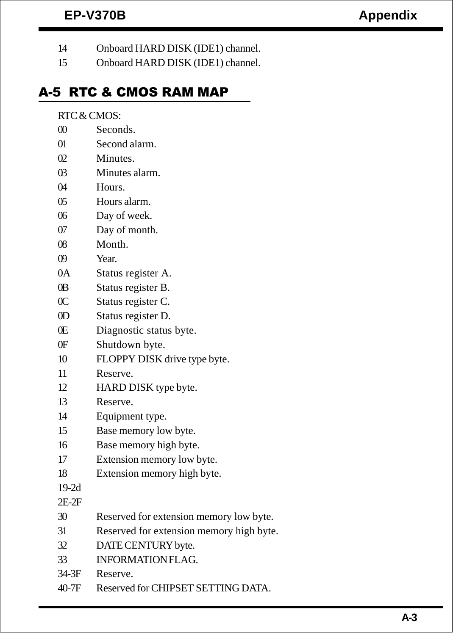- 14 Onboard HARD DISK (IDE1) channel.
- 15 Onboard HARD DISK (IDE1) channel.

#### A-5 RTC & CMOS RAM MAP

RTC & CMOS:

- 00 Seconds.
- 01 Second alarm.
- 02 Minutes.
- 03 Minutes alarm.
- 04 Hours.
- 05 Hours alarm.
- 06 Day of week.
- 07 Day of month.
- 08 Month.
- 09 Year.
- 0A Status register A.
- 0B Status register B.
- 0C Status register C.
- 0D Status register D.
- 0E Diagnostic status byte.
- 0F Shutdown byte.
- 10 FLOPPY DISK drive type byte.
- 11 Reserve.
- 12 HARD DISK type byte.
- 13 Reserve.
- 14 Equipment type.
- 15 Base memory low byte.
- 16 Base memory high byte.
- 17 Extension memory low byte.
- 18 Extension memory high byte.
- 19-2d

2E-2F

- 30 Reserved for extension memory low byte.
- 31 Reserved for extension memory high byte.
- 32 DATE CENTURY byte.
- 33 INFORMATION FLAG.
- 34-3F Reserve.
- 40-7F Reserved for CHIPSET SETTING DATA.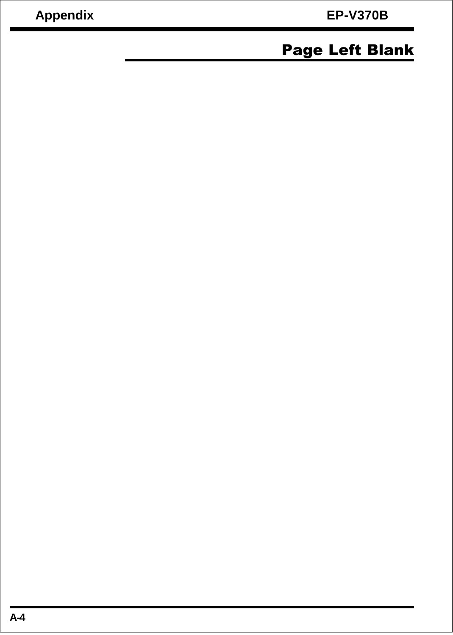## Page Left Blank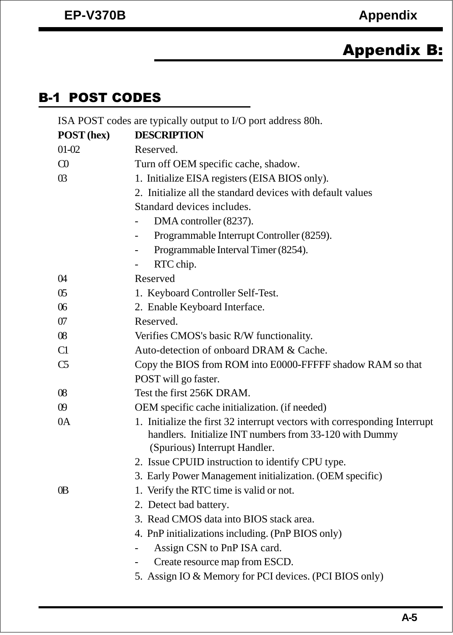## Appendix B:

#### B-1 POST CODES

|                  | ISA POST codes are typically output to I/O port address 80h.                                                                                                          |
|------------------|-----------------------------------------------------------------------------------------------------------------------------------------------------------------------|
| POST (hex)       | <b>DESCRIPTION</b>                                                                                                                                                    |
| 01-02            | Reserved.                                                                                                                                                             |
| $\Omega$         | Turn off OEM specific cache, shadow.                                                                                                                                  |
| $\boldsymbol{0}$ | 1. Initialize EISA registers (EISA BIOS only).                                                                                                                        |
|                  | 2. Initialize all the standard devices with default values                                                                                                            |
|                  | Standard devices includes.                                                                                                                                            |
|                  | DMA controller (8237).                                                                                                                                                |
|                  | Programmable Interrupt Controller (8259).                                                                                                                             |
|                  | Programmable Interval Timer (8254).<br>$\overline{\phantom{m}}$                                                                                                       |
|                  | RTC chip.<br>$\overline{\phantom{a}}$                                                                                                                                 |
| $\Omega$         | Reserved                                                                                                                                                              |
| 05               | 1. Keyboard Controller Self-Test.                                                                                                                                     |
| 06               | 2. Enable Keyboard Interface.                                                                                                                                         |
| 07               | Reserved.                                                                                                                                                             |
| 08               | Verifies CMOS's basic R/W functionality.                                                                                                                              |
| C <sub>1</sub>   | Auto-detection of onboard DRAM & Cache.                                                                                                                               |
| C <sub>5</sub>   | Copy the BIOS from ROM into E0000-FFFFF shadow RAM so that                                                                                                            |
|                  | POST will go faster.                                                                                                                                                  |
| 08               | Test the first 256K DRAM.                                                                                                                                             |
| 09               | OEM specific cache initialization. (if needed)                                                                                                                        |
| 0A               | 1. Initialize the first 32 interrupt vectors with corresponding Interrupt<br>handlers. Initialize INT numbers from 33-120 with Dummy<br>(Spurious) Interrupt Handler. |
|                  | 2. Issue CPUID instruction to identify CPU type.                                                                                                                      |
|                  | 3. Early Power Management initialization. (OEM specific)                                                                                                              |
| 0 <sub>B</sub>   | 1. Verify the RTC time is valid or not.                                                                                                                               |
|                  | 2. Detect bad battery.                                                                                                                                                |
|                  | 3. Read CMOS data into BIOS stack area.                                                                                                                               |
|                  | 4. PnP initializations including. (PnP BIOS only)                                                                                                                     |
|                  | Assign CSN to PnP ISA card.<br>$\qquad \qquad \blacksquare$                                                                                                           |
|                  | Create resource map from ESCD.                                                                                                                                        |
|                  | 5. Assign IO & Memory for PCI devices. (PCI BIOS only)                                                                                                                |
|                  |                                                                                                                                                                       |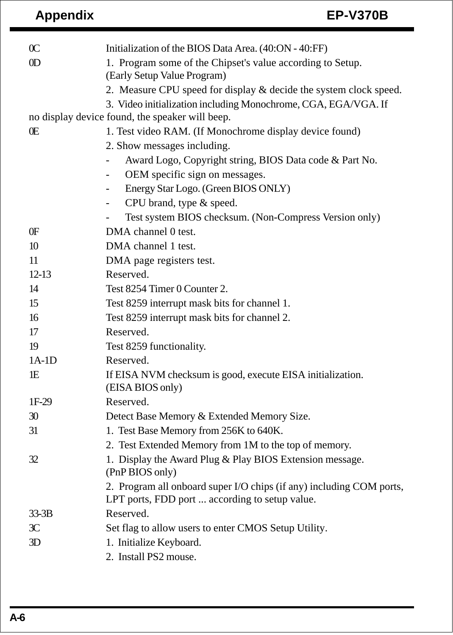| $\alpha$  | Initialization of the BIOS Data Area. (40:ON - 40:FF)                       |
|-----------|-----------------------------------------------------------------------------|
| 0D        | 1. Program some of the Chipset's value according to Setup.                  |
|           | (Early Setup Value Program)                                                 |
|           | 2. Measure CPU speed for display & decide the system clock speed.           |
|           | 3. Video initialization including Monochrome, CGA, EGA/VGA. If              |
|           | no display device found, the speaker will beep.                             |
| Œ         | 1. Test video RAM. (If Monochrome display device found)                     |
|           | 2. Show messages including.                                                 |
|           | Award Logo, Copyright string, BIOS Data code & Part No.                     |
|           | OEM specific sign on messages.<br>$\overline{\phantom{0}}$                  |
|           | Energy Star Logo. (Green BIOS ONLY)<br>$\overline{\phantom{a}}$             |
|           | CPU brand, type & speed.                                                    |
|           | Test system BIOS checksum. (Non-Compress Version only)                      |
| 0F        | DMA channel 0 test.                                                         |
| 10        | DMA channel 1 test.                                                         |
| 11        | DMA page registers test.                                                    |
| $12 - 13$ | Reserved.                                                                   |
| 14        | Test 8254 Timer 0 Counter 2.                                                |
| 15        | Test 8259 interrupt mask bits for channel 1.                                |
| 16        | Test 8259 interrupt mask bits for channel 2.                                |
| 17        | Reserved.                                                                   |
| 19        | Test 8259 functionality.                                                    |
| $1A-1D$   | Reserved.                                                                   |
| 1E        | If EISA NVM checksum is good, execute EISA initialization.                  |
|           | (EISA BIOS only)                                                            |
| 1F-29     | Reserved.                                                                   |
| 30        | Detect Base Memory & Extended Memory Size.                                  |
| 31        | 1. Test Base Memory from 256K to 640K.                                      |
|           | 2. Test Extended Memory from 1M to the top of memory.                       |
| 32        | 1. Display the Award Plug & Play BIOS Extension message.<br>(PnP BIOS only) |
|           | 2. Program all onboard super I/O chips (if any) including COM ports,        |
|           | LPT ports, FDD port  according to setup value.                              |
| $33-3B$   | Reserved.                                                                   |
| 3C        | Set flag to allow users to enter CMOS Setup Utility.                        |
| 3D        | 1. Initialize Keyboard.                                                     |
|           | 2. Install PS2 mouse.                                                       |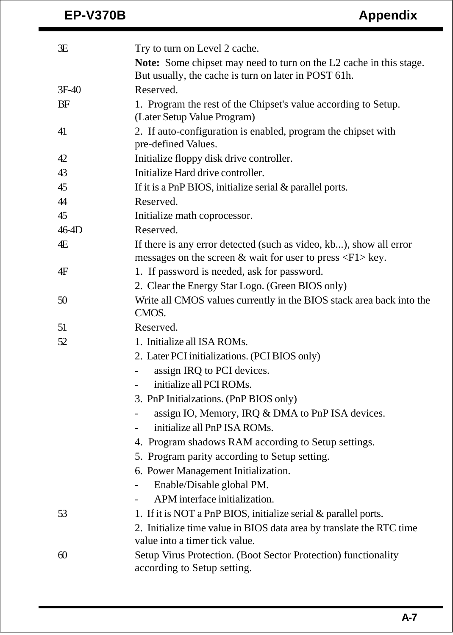| 3E    | Try to turn on Level 2 cache.                                                                                                           |  |  |
|-------|-----------------------------------------------------------------------------------------------------------------------------------------|--|--|
|       | Note: Some chipset may need to turn on the L2 cache in this stage.                                                                      |  |  |
|       | But usually, the cache is turn on later in POST 61h.                                                                                    |  |  |
| 3F-40 | Reserved.                                                                                                                               |  |  |
| BF    | 1. Program the rest of the Chipset's value according to Setup.<br>(Later Setup Value Program)                                           |  |  |
| 41    | 2. If auto-configuration is enabled, program the chipset with<br>pre-defined Values.                                                    |  |  |
| 42    | Initialize floppy disk drive controller.                                                                                                |  |  |
| 43    | Initialize Hard drive controller.                                                                                                       |  |  |
| 45    | If it is a PnP BIOS, initialize serial $&$ parallel ports.                                                                              |  |  |
| 44    | Reserved.                                                                                                                               |  |  |
| 45    | Initialize math coprocessor.                                                                                                            |  |  |
| 46-4D | Reserved.                                                                                                                               |  |  |
| 4E    | If there is any error detected (such as video, kb), show all error<br>messages on the screen $\&$ wait for user to press <f1> key.</f1> |  |  |
| 4F    | 1. If password is needed, ask for password.                                                                                             |  |  |
|       | 2. Clear the Energy Star Logo. (Green BIOS only)                                                                                        |  |  |
| 50    | Write all CMOS values currently in the BIOS stack area back into the<br>CMOS.                                                           |  |  |
| 51    | Reserved.                                                                                                                               |  |  |
| 52    | 1. Initialize all ISA ROMs.                                                                                                             |  |  |
|       | 2. Later PCI initializations. (PCI BIOS only)                                                                                           |  |  |
|       | assign IRQ to PCI devices.<br>$\overline{\phantom{0}}$                                                                                  |  |  |
|       | initialize all PCI ROMs.                                                                                                                |  |  |
|       | 3. PnP Initialzations. (PnP BIOS only)                                                                                                  |  |  |
|       | assign IO, Memory, IRQ & DMA to PnP ISA devices.                                                                                        |  |  |
|       | initialize all PnP ISA ROMs.                                                                                                            |  |  |
|       | 4. Program shadows RAM according to Setup settings.                                                                                     |  |  |
|       | 5. Program parity according to Setup setting.                                                                                           |  |  |
|       | 6. Power Management Initialization.                                                                                                     |  |  |
|       | Enable/Disable global PM.<br>$\overline{\phantom{0}}$                                                                                   |  |  |
|       | APM interface initialization.                                                                                                           |  |  |
| 53    | 1. If it is NOT a PnP BIOS, initialize serial & parallel ports.                                                                         |  |  |
|       | 2. Initialize time value in BIOS data area by translate the RTC time                                                                    |  |  |
|       | value into a timer tick value.                                                                                                          |  |  |
| 60    | Setup Virus Protection. (Boot Sector Protection) functionality<br>according to Setup setting.                                           |  |  |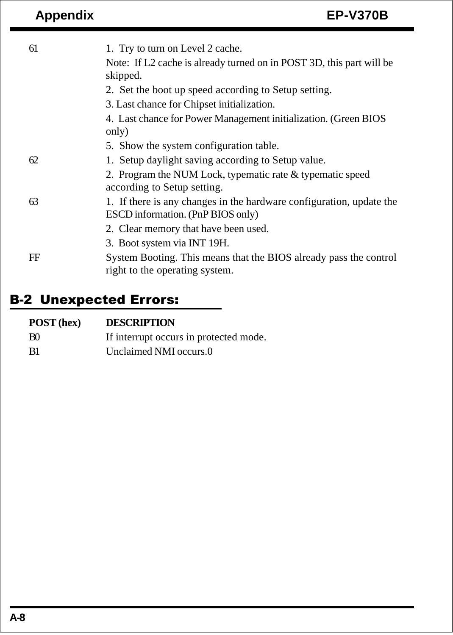| <b>Appendix</b> | <b>EP-V370B</b>                                                                                           |
|-----------------|-----------------------------------------------------------------------------------------------------------|
| 61              | 1. Try to turn on Level 2 cache.                                                                          |
|                 | Note: If L2 cache is already turned on in POST 3D, this part will be<br>skipped.                          |
|                 | 2. Set the boot up speed according to Setup setting.                                                      |
|                 | 3. Last chance for Chipset initialization.                                                                |
|                 | 4. Last chance for Power Management initialization. (Green BIOS<br>only)                                  |
|                 | 5. Show the system configuration table.                                                                   |
| 62              | 1. Setup daylight saving according to Setup value.                                                        |
|                 | 2. Program the NUM Lock, typematic rate & typematic speed<br>according to Setup setting.                  |
| 63              | 1. If there is any changes in the hardware configuration, update the<br>ESCD information. (PnP BIOS only) |
|                 | 2. Clear memory that have been used.                                                                      |
|                 | 3. Boot system via INT 19H.                                                                               |
| FF              | System Booting. This means that the BIOS already pass the control<br>right to the operating system.       |

## B-2 Unexpected Errors:

| POST (hex) | <b>DESCRIPTION</b>                     |
|------------|----------------------------------------|
| BO.        | If interrupt occurs in protected mode. |
| B1         | Unclaimed NMI occurs.0                 |